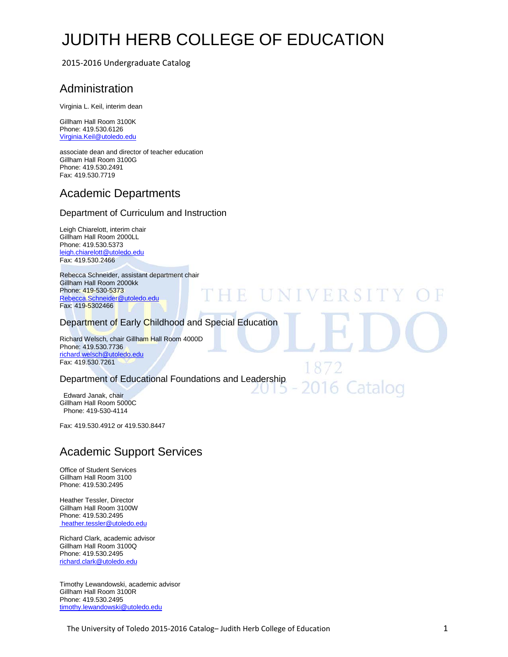# [JUDITH HERB COLLEGE OF EDUCATION](http://utoledo.edu/education/)

**HE UNIVERSIT** 

2016 Catalog

2015-2016 Undergraduate Catalog

# Administration

Virginia L. Keil, interim dean

Gillham Hall Room 3100K Phone: 419.530.6126 Virginia.Keil@utoledo.edu

associate dean and director of teacher education Gillham Hall Room 3100G Phone: 419.530.2491 Fax: 419.530.7719

# Academic Departments

#### Department of Curriculum and Instruction

Leigh Chiarelott, interim chair Gillham Hall Room 2000LL Phone: 419.530.5373 [leigh.chiarelott@utoledo.edu](mailto:morris.jenkins@utoledo.edu) Fax: 419.530.2466

Rebecca Schneider, assistant department chair Gillham Hall Room 2000kk Phone: 419-530-5373 [Rebecca.Schneider@utoledo.edu](mailto:Rebecca.Schneider@utoledo.edu) Fax: 419-5302466

#### Department of Early Childhood and Special Education

Richard Welsch, chair Gillham Hall Room 4000D Phone: 419.530.7736 [richard.welsch@utoledo.edu](mailto:morris.jenkins@utoledo.edu) Fax: 419.530.7261

#### Department of Educational Foundations and Leadership

Edward Janak, chair Gillham Hall Room 5000C Phone: 419-530-4114

Fax: 419.530.4912 or 419.530.8447

# Academic Support Services

Office of Student Services Gillham Hall Room 3100 Phone: 419.530.2495

Heather Tessler, Director Gillham Hall Room 3100W Phone: 419.530.2495 heather.tessler@utoledo.edu

Richard Clark, academic advisor Gillham Hall Room 3100Q Phone: 419.530.2495 [richard.clark@utoledo.edu](mailto:patricia.beckett@utoledo.edu)

Timothy Lewandowski, academic advisor Gillham Hall Room 3100R Phone: 419.530.2495 [timothy.lewandowski@utoledo.edu](mailto:timothy.lewandowski@utoledo.edu)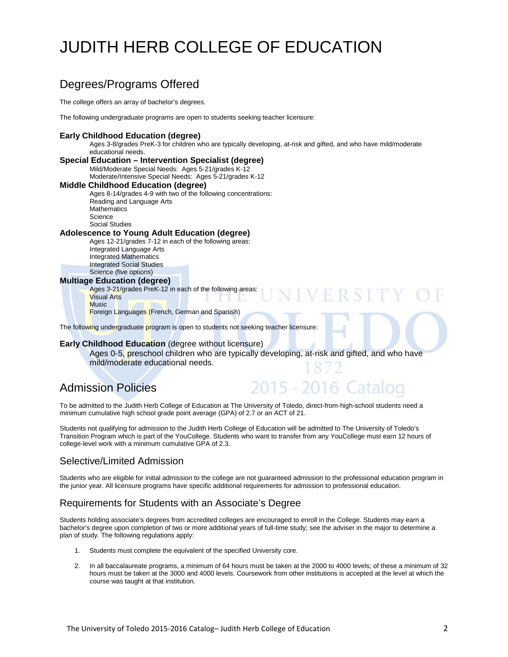# [JUDITH HERB COLLEGE OF EDUCATION](http://utoledo.edu/education/)

# Degrees/Programs Offered

The college offers an array of bachelor's degrees.

The following undergraduate programs are open to students seeking teacher licensure:

#### **Early Childhood Education (degree)**

Ages 3-8/grades PreK-3 for children who are typically developing, at-risk and gifted, and who have mild/moderate educational needs.

**Special Education – Intervention Specialist (degree)** Mild/Moderate Special Needs: Ages 5-21/grades K-12 Moderate/Intensive Special Needs: Ages 5-21/grades K-12

**Middle Childhood Education (degree)** Ages 8-14/grades 4-9 with two of the following concentrations: Reading and Language Arts **Mathematics Science** Social Studies

#### **Adolescence to Young Adult Education (degree)**

Ages 12-21/grades 7-12 in each of the following areas: Integrated Language Arts Integrated Mathematics Integrated Social Studies Science (five options)

#### **Multiage Education (degree)**

Ages 3-21/grades PreK-12 in each of the following areas: Visual Arts **Music** 

Foreign Languages (French, German and Spanish)

The following undergraduate program is open to students not seeking teacher licensure:

#### **Early Childhood Education** (degree without licensure)

Ages 0-5, preschool children who are typically developing, at-risk and gifted, and who have mild/moderate educational needs.

# Admission Policies

# 2015 - 2016 Catalog

**FRSI** 

To be admitted to the Judith Herb College of Education at The University of Toledo, direct-from-high-school students need a minimum cumulative high school grade point average (GPA) of 2.7 or an ACT of 21.

Students not qualifying for admission to the Judith Herb College of Education will be admitted to The University of Toledo's Transition Program which is part of the YouCollege. Students who want to transfer from any YouCollege must earn 12 hours of college-level work with a minimum cumulative GPA of 2.3.

#### Selective/Limited Admission

Students who are eligible for initial admission to the college are not guaranteed admission to the professional education program in the junior year. All licensure programs have specific additional requirements for admission to professional education.

#### Requirements for Students with an Associate's Degree

Students holding associate's degrees from accredited colleges are encouraged to enroll in the College. Students may earn a bachelor's degree upon completion of two or more additional years of full-time study; see the adviser in the major to determine a plan of study. The following regulations apply:

- 1. Students must complete the equivalent of the specified University core.
- 2. In all baccalaureate programs, a minimum of 64 hours must be taken at the 2000 to 4000 levels; of these a minimum of 32 hours must be taken at the 3000 and 4000 levels. Coursework from other institutions is accepted at the level at which the course was taught at that institution.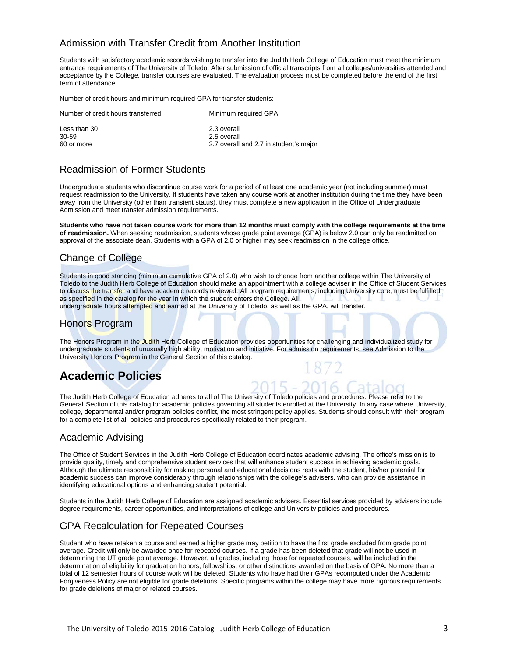### Admission with Transfer Credit from Another Institution

Students with satisfactory academic records wishing to transfer into the Judith Herb College of Education must meet the minimum entrance requirements of The University of Toledo. After submission of official transcripts from all colleges/universities attended and acceptance by the College, transfer courses are evaluated. The evaluation process must be completed before the end of the first term of attendance.

Number of credit hours and minimum required GPA for transfer students:

| Number of credit hours transferred | Minimum required GPA                   |
|------------------------------------|----------------------------------------|
| Less than 30                       | 2.3 overall                            |
| 30-59                              | 2.5 overall                            |
| 60 or more                         | 2.7 overall and 2.7 in student's major |

## Readmission of Former Students

Undergraduate students who discontinue course work for a period of at least one academic year (not including summer) must request readmission to the University. If students have taken any course work at another institution during the time they have been away from the University (other than transient status), they must complete a new application in the Office of Undergraduate Admission and meet transfer admission requirements.

**Students who have not taken course work for more than 12 months must comply with the college requirements at the time of readmission.** When seeking readmission, students whose grade point average (GPA) is below 2.0 can only be readmitted on approval of the associate dean. Students with a GPA of 2.0 or higher may seek readmission in the college office.

## Change of College

Students in good standing (minimum cumulative GPA of 2.0) who wish to change from another college within The University of Toledo to the Judith Herb College of Education should make an appointment with a college adviser in the Office of Student Services to discuss the transfer and have academic records reviewed. All program requirements, including University core, must be fulfilled as specified in the catalog for the year in which the student enters the College. All undergraduate hours attempted and earned at the University of Toledo, as well as the GPA, will transfer.

#### Honors Program

The Honors Program in the Judith Herb College of Education provides opportunities for challenging and individualized study for undergraduate students of unusually high ability, motivation and initiative. For admission requirements, see Admission to the University Honors Program in the General Section of this catalog.

# **Academic Policies**

The Judith Herb College of Education adheres to all of The University of Toledo policies and procedures. Please refer to the General Section of this catalog for academic policies governing all students enrolled at the University. In any case where University, college, departmental and/or program policies conflict, the most stringent policy applies. Students should consult with their program for a complete list of all policies and procedures specifically related to their program.

#### Academic Advising

The Office of Student Services in the Judith Herb College of Education coordinates academic advising. The office's mission is to provide quality, timely and comprehensive student services that will enhance student success in achieving academic goals. Although the ultimate responsibility for making personal and educational decisions rests with the student, his/her potential for academic success can improve considerably through relationships with the college's advisers, who can provide assistance in identifying educational options and enhancing student potential.

Students in the Judith Herb College of Education are assigned academic advisers. Essential services provided by advisers include degree requirements, career opportunities, and interpretations of college and University policies and procedures.

## GPA Recalculation for Repeated Courses

Student who have retaken a course and earned a higher grade may petition to have the first grade excluded from grade point average. Credit will only be awarded once for repeated courses. If a grade has been deleted that grade will not be used in determining the UT grade point average. However, all grades, including those for repeated courses, will be included in the determination of eligibility for graduation honors, fellowships, or other distinctions awarded on the basis of GPA. No more than a total of 12 semester hours of course work will be deleted. Students who have had their GPAs recomputed under the Academic Forgiveness Policy are not eligible for grade deletions. Specific programs within the college may have more rigorous requirements for grade deletions of major or related courses.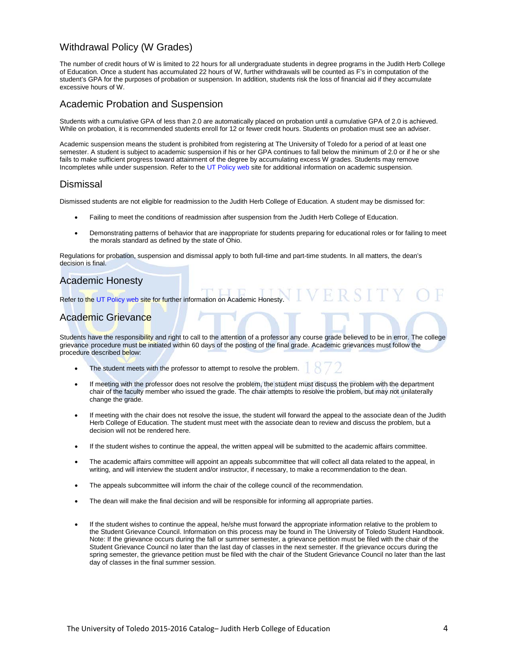#### Withdrawal Policy (W Grades)

The number of credit hours of W is limited to 22 hours for all undergraduate students in degree programs in the Judith Herb College of Education. Once a student has accumulated 22 hours of W, further withdrawals will be counted as F's in computation of the student's GPA for the purposes of probation or suspension. In addition, students risk the loss of financial aid if they accumulate excessive hours of W.

#### Academic Probation and Suspension

Students with a cumulative GPA of less than 2.0 are automatically placed on probation until a cumulative GPA of 2.0 is achieved. While on probation, it is recommended students enroll for 12 or fewer credit hours. Students on probation must see an adviser.

Academic suspension means the student is prohibited from registering at The University of Toledo for a period of at least one semester. A student is subject to academic suspension if his or her GPA continues to fall below the minimum of 2.0 or if he or she fails to make sufficient progress toward attainment of the degree by accumulating excess W grades. Students may remove Incompletes while under suspension. Refer to th[e UT Policy web](http://utoledo.edu/policies/) site for additional information on academic suspension.

#### Dismissal

Dismissed students are not eligible for readmission to the Judith Herb College of Education. A student may be dismissed for:

- Failing to meet the conditions of readmission after suspension from the Judith Herb College of Education.
- Demonstrating patterns of behavior that are inappropriate for students preparing for educational roles or for failing to meet the morals standard as defined by the state of Ohio.

ERSITY

Regulations for probation, suspension and dismissal apply to both full-time and part-time students. In all matters, the dean's decision is final.

#### Academic Honesty

Refer to the [UT Policy web](http://utoledo.edu/policies/) site for further information on Academic Honesty.

#### Academic Grievance

Students have the responsibility and right to call to the attention of a professor any course grade believed to be in error. The college grievance procedure must be initiated within 60 days of the posting of the final grade. Academic grievances must follow the procedure described below:

- The student meets with the professor to attempt to resolve the problem.
- If meeting with the professor does not resolve the problem, the student must discuss the problem with the department chair of the faculty member who issued the grade. The chair attempts to resolve the problem, but may not unilaterally change the grade.
- If meeting with the chair does not resolve the issue, the student will forward the appeal to the associate dean of the Judith Herb College of Education. The student must meet with the associate dean to review and discuss the problem, but a decision will not be rendered here.
- If the student wishes to continue the appeal, the written appeal will be submitted to the academic affairs committee.
- The academic affairs committee will appoint an appeals subcommittee that will collect all data related to the appeal, in writing, and will interview the student and/or instructor, if necessary, to make a recommendation to the dean.
- The appeals subcommittee will inform the chair of the college council of the recommendation.
- The dean will make the final decision and will be responsible for informing all appropriate parties.
- If the student wishes to continue the appeal, he/she must forward the appropriate information relative to the problem to the Student Grievance Council. Information on this process may be found in The University of Toledo Student Handbook. Note: If the grievance occurs during the fall or summer semester, a grievance petition must be filed with the chair of the Student Grievance Council no later than the last day of classes in the next semester. If the grievance occurs during the spring semester, the grievance petition must be filed with the chair of the Student Grievance Council no later than the last day of classes in the final summer session.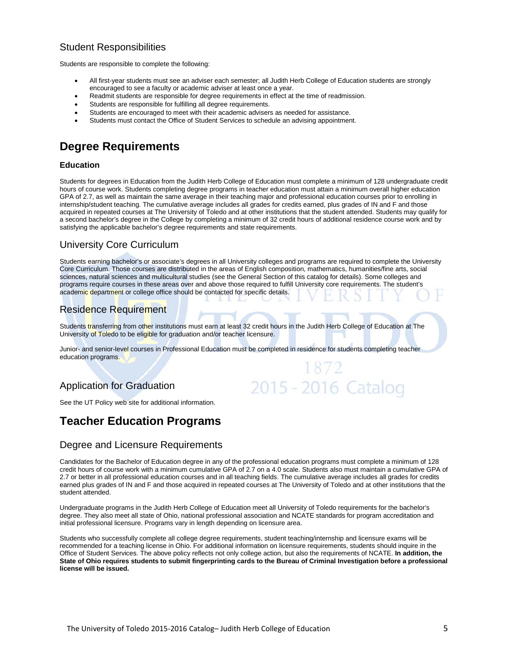### Student Responsibilities

Students are responsible to complete the following:

- All first-year students must see an adviser each semester; all Judith Herb College of Education students are strongly encouraged to see a faculty or academic adviser at least once a year.
- Readmit students are responsible for degree requirements in effect at the time of readmission.
- Students are responsible for fulfilling all degree requirements.
- Students are encouraged to meet with their academic advisers as needed for assistance.
- Students must contact the Office of Student Services to schedule an advising appointment.

# **Degree Requirements**

#### **Education**

Students for degrees in Education from the Judith Herb College of Education must complete a minimum of 128 undergraduate credit hours of course work. Students completing degree programs in teacher education must attain a minimum overall higher education GPA of 2.7, as well as maintain the same average in their teaching major and professional education courses prior to enrolling in internship/student teaching. The cumulative average includes all grades for credits earned, plus grades of IN and F and those acquired in repeated courses at The University of Toledo and at other institutions that the student attended. Students may qualify for a second bachelor's degree in the College by completing a minimum of 32 credit hours of additional residence course work and by satisfying the applicable bachelor's degree requirements and state requirements.

#### University Core Curriculum

Students earning bachelor's or associate's degrees in all University colleges and programs are required to complete the University Core Curriculum. Those courses are distributed in the areas of English composition, mathematics, humanities/fine arts, social sciences, natural sciences and multicultural studies (see the General Section of this catalog for details). Some colleges and programs require courses in these areas over and above those required to fulfill University core requirements. The student's academic department or college office should be contacted for specific details.

#### Residence Requirement

Students *transferring from other institutions must earn at least 32 credit hours in the Judith Herb College of Education at The* University of Toledo to be eligible for graduation and/or teacher licensure.

Junior- and senior-level courses in Professional Education must be completed in residence for students completing teacher education programs.

872

2015 - 2016 Catalog

## Application for Graduation

#### See the UT Policy web site for additional information.

## **Teacher Education Programs**

#### Degree and Licensure Requirements

Candidates for the Bachelor of Education degree in any of the professional education programs must complete a minimum of 128 credit hours of course work with a minimum cumulative GPA of 2.7 on a 4.0 scale. Students also must maintain a cumulative GPA of 2.7 or better in all professional education courses and in all teaching fields. The cumulative average includes all grades for credits earned plus grades of IN and F and those acquired in repeated courses at The University of Toledo and at other institutions that the student attended.

Undergraduate programs in the Judith Herb College of Education meet all University of Toledo requirements for the bachelor's degree. They also meet all state of Ohio, national professional association and NCATE standards for program accreditation and initial professional licensure. Programs vary in length depending on licensure area.

Students who successfully complete all college degree requirements, student teaching/internship and licensure exams will be recommended for a teaching license in Ohio. For additional information on licensure requirements, students should inquire in the Office of Student Services. The above policy reflects not only college action, but also the requirements of NCATE. **In addition, the State of Ohio requires students to submit fingerprinting cards to the Bureau of Criminal Investigation before a professional license will be issued.**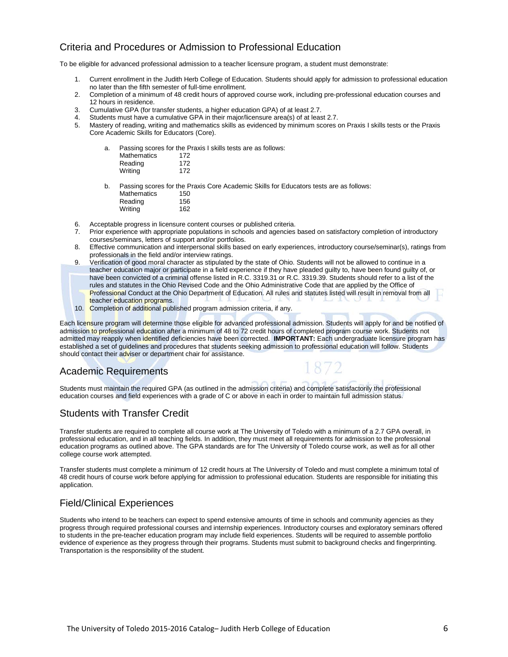## Criteria and Procedures or Admission to Professional Education

To be eligible for advanced professional admission to a teacher licensure program, a student must demonstrate:

- 1. Current enrollment in the Judith Herb College of Education. Students should apply for admission to professional education no later than the fifth semester of full-time enrollment.
- 2. Completion of a minimum of 48 credit hours of approved course work, including pre-professional education courses and 12 hours in residence.
- 3. Cumulative GPA (for transfer students, a higher education GPA) of at least 2.7.
- 4. Students must have a cumulative GPA in their major/licensure area(s) of at least 2.7.
- Mastery of reading, writing and mathematics skills as evidenced by minimum scores on Praxis I skills tests or the Praxis Core Academic Skills for Educators (Core).

| а. |                    | Passing scores for the Praxis I skills tests are as follows:                           |
|----|--------------------|----------------------------------------------------------------------------------------|
|    | <b>Mathematics</b> | 172                                                                                    |
|    | Reading            | 172                                                                                    |
|    | Writing            | 172                                                                                    |
| b. |                    | Passing scores for the Praxis Core Academic Skills for Educators tests are as follows: |
|    | Mathematics        | 150                                                                                    |

- Reading 156 Writing 162
- 6. Acceptable progress in licensure content courses or published criteria.<br>6. Prior experience with appropriate populations in schools and agencies
- Prior experience with appropriate populations in schools and agencies based on satisfactory completion of introductory courses/seminars, letters of support and/or portfolios.
- 8. Effective communication and interpersonal skills based on early experiences, introductory course/seminar(s), ratings from professionals in the field and/or interview ratings.
- 9. Verification of good moral character as stipulated by the state of Ohio. Students will not be allowed to continue in a teacher education major or participate in a field experience if they have pleaded guilty to, have been found guilty of, or have been convicted of a criminal offense listed in R.C. 3319.31 or R.C. 3319.39. Students should refer to a list of the rules and statutes in the Ohio Revised Code and the Ohio Administrative Code that are applied by the Office of Professional Conduct at the Ohio Department of Education. All rules and statutes listed will result in removal from all teacher education programs.
- 10. Completion of additional published program admission criteria, if any.

Each licensure program will determine those eligible for advanced professional admission. Students will apply for and be notified of admission to professional education after a minimum of 48 to 72 credit hours of completed program course work. Students not admitted may reapply when identified deficiencies have been corrected. **IMPORTANT:** Each undergraduate licensure program has established a set of guidelines and procedures that students seeking admission to professional education will follow. Students should contact their adviser or department chair for assistance.

#### Academic Requirements

Students must maintain the required GPA (as outlined in the admission criteria) and complete satisfactorily the professional education courses and field experiences with a grade of C or above in each in order to maintain full admission status.

#### Students with Transfer Credit

Transfer students are required to complete all course work at The University of Toledo with a minimum of a 2.7 GPA overall, in professional education, and in all teaching fields. In addition, they must meet all requirements for admission to the professional education programs as outlined above. The GPA standards are for The University of Toledo course work, as well as for all other college course work attempted.

Transfer students must complete a minimum of 12 credit hours at The University of Toledo and must complete a minimum total of 48 credit hours of course work before applying for admission to professional education. Students are responsible for initiating this application.

#### Field/Clinical Experiences

Students who intend to be teachers can expect to spend extensive amounts of time in schools and community agencies as they progress through required professional courses and internship experiences. Introductory courses and exploratory seminars offered to students in the pre-teacher education program may include field experiences. Students will be required to assemble portfolio evidence of experience as they progress through their programs. Students must submit to background checks and fingerprinting. Transportation is the responsibility of the student.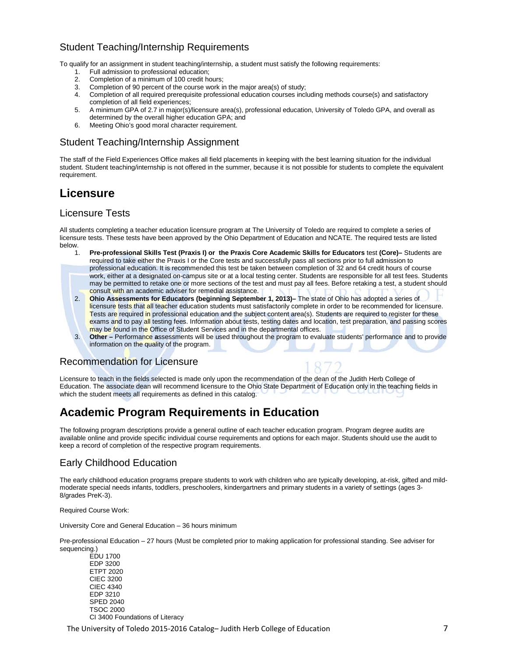## Student Teaching/Internship Requirements

To qualify for an assignment in student teaching/internship, a student must satisfy the following requirements:

- 1. Full admission to professional education;<br>2. Completion of a minimum of 100 credit ho
- 2. Completion of a minimum of 100 credit hours;
- 3. Completion of 90 percent of the course work in the major area(s) of study;<br>4. Completion of all required prerequisite professional education courses incl
- 4. Completion of all required prerequisite professional education courses including methods course(s) and satisfactory completion of all field experiences;
- 5. A minimum GPA of 2.7 in major(s)/licensure area(s), professional education, University of Toledo GPA, and overall as determined by the overall higher education GPA; and
- 6. Meeting Ohio's good moral character requirement.

### Student Teaching/Internship Assignment

The staff of the Field Experiences Office makes all field placements in keeping with the best learning situation for the individual student. Student teaching/internship is not offered in the summer, because it is not possible for students to complete the equivalent requirement.

# **Licensure**

#### Licensure Tests

All students completing a teacher education licensure program at The University of Toledo are required to complete a series of licensure tests. These tests have been approved by the Ohio Department of Education and NCATE. The required tests are listed below.

- 1. **Pre-professional Skills Test (Praxis I) or the Praxis Core Academic Skills for Educators** test **(Core)–** Students are required to take either the Praxis I or the Core tests and successfully pass all sections prior to full admission to professional education. It is recommended this test be taken between completion of 32 and 64 credit hours of course work, either at a designated on-campus site or at a local testing center. Students are responsible for all test fees. Students may be permitted to retake one or more sections of the test and must pay all fees. Before retaking a test, a student should consult with an academic adviser for remedial assistance.
- 2. **Ohio Assessments for Educators (beginning September 1, 2013)–** The state of Ohio has adopted a series of licensure tests that all teacher education students must satisfactorily complete in order to be recommended for licensure. Tests are required in professional education and the subject content area(s). Students are required to register for these exams and to pay all testing fees. Information about tests, testing dates and location, test preparation, and passing scores may be found in the Office of Student Services and in the departmental offices.
- 3. **Other –** Performance **a**ssessments will be used throughout the program to evaluate students' performance and to provide information on the quality of the program.

## Recommendation for Licensure

Licensure to teach in the fields selected is made only upon the recommendation of the dean of the Judith Herb College of Education. The associate dean will recommend licensure to the Ohio State Department of Education only in the teaching fields in which the student meets all requirements as defined in this catalog.

# **Academic Program Requirements in Education**

The following program descriptions provide a general outline of each teacher education program. Program degree audits are available online and provide specific individual course requirements and options for each major. Students should use the audit to keep a record of completion of the respective program requirements.

#### Early Childhood Education

The early childhood education programs prepare students to work with children who are typically developing, at-risk, gifted and mildmoderate special needs infants, toddlers, preschoolers, kindergartners and primary students in a variety of settings (ages 3- 8/grades PreK-3).

Required Course Work:

University Core and General Education – 36 hours minimum

Pre-professional Education – 27 hours (Must be completed prior to making application for professional standing. See adviser for sequencing.)

EDU 1700 EDP 3200 ETPT 2020 CIEC 3200 CIEC 4340 EDP 3210 SPED 2040 TSOC 2000 CI 3400 Foundations of Literacy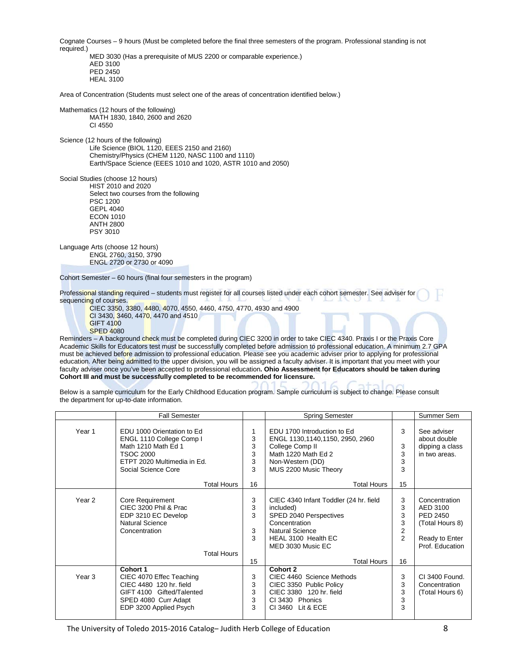Cognate Courses – 9 hours (Must be completed before the final three semesters of the program. Professional standing is not required.)

MED 3030 (Has a prerequisite of MUS 2200 or comparable experience.) AED 3100 PED 2450 HEAL 3100

Area of Concentration (Students must select one of the areas of concentration identified below.)

Mathematics (12 hours of the following) MATH 1830, 1840, 2600 and 2620 CI 4550

Science (12 hours of the following) Life Science (BIOL 1120, EEES 2150 and 2160) Chemistry/Physics (CHEM 1120, NASC 1100 and 1110) Earth/Space Science (EEES 1010 and 1020, ASTR 1010 and 2050)

Social Studies (choose 12 hours) HIST 2010 and 2020 Select two courses from the following PSC 1200 GEPL 4040 ECON 1010 ANTH 2800 PSY 3010

Language Arts (choose 12 hours) ENGL 2760, 3150, 3790 ENGL 2720 or 2730 or 4090

Cohort Semester – 60 hours (final four semesters in the program)

Professional standing required – students must register for all courses listed under each cohort semester. See adviser for sequencing of courses.

CIEC 3350, 3380, 4480, 4070, 4550, 4460, 4750, 4770, 4930 and 4900 CI 3430, 3460, 4470, 4470 and 4510 GIFT 4100 SPED 4080

Reminders - A background check must be completed during CIEC 3200 in order to take CIEC 4340. Praxis I or the Praxis Core Academic Skills for Educators test must be successfully completed before admission to professional education. A minimum 2.7 GPA must be achieved before admission to professional education. Please see you academic adviser prior to applying for professional education. After being admitted to the upper division, you will be assigned a faculty adviser. It is important that you meet with your faculty adviser once you've been accepted to professional education**. Ohio Assessment for Educators should be taken during Cohort III and must be successfully completed to be recommended for licensure.** 

Below is a sample curriculum for the Early Childhood Education program. Sample curriculum is subject to change. Please consult the department for up-to-date information.

|                   | <b>Fall Semester</b>                                                                                                                                    |                             | <b>Spring Semester</b>                                                                                                                                                                     |                                               | Summer Sem                                                                                    |
|-------------------|---------------------------------------------------------------------------------------------------------------------------------------------------------|-----------------------------|--------------------------------------------------------------------------------------------------------------------------------------------------------------------------------------------|-----------------------------------------------|-----------------------------------------------------------------------------------------------|
| Year 1            | EDU 1000 Orientation to Ed<br>ENGL 1110 College Comp I<br>Math 1210 Math Ed 1<br><b>TSOC 2000</b><br>ETPT 2020 Multimedia in Ed.<br>Social Science Core | 1<br>3<br>3<br>3<br>3<br>3  | EDU 1700 Introduction to Ed<br>ENGL 1130,1140,1150, 2950, 2960<br>College Comp II<br>Math 1220 Math Ed 2<br>Non-Western (DD)<br>MUS 2200 Music Theory                                      | 3<br>3<br>3<br>3<br>3                         | See adviser<br>about double<br>dipping a class<br>in two areas.                               |
|                   | <b>Total Hours</b>                                                                                                                                      | 16                          | <b>Total Hours</b>                                                                                                                                                                         | 15                                            |                                                                                               |
| Year <sub>2</sub> | Core Requirement<br>CIEC 3200 Phil & Prac<br>EDP 3210 EC Develop<br><b>Natural Science</b><br>Concentration<br><b>Total Hours</b>                       | 3<br>3<br>3<br>3<br>3<br>15 | CIEC 4340 Infant Toddler (24 hr. field<br>included)<br>SPED 2040 Perspectives<br>Concentration<br><b>Natural Science</b><br>HEAL 3100 Health EC<br>MED 3030 Music EC<br><b>Total Hours</b> | 3<br>3<br>3<br>3<br>2<br>$\overline{2}$<br>16 | Concentration<br>AED 3100<br>PED 2450<br>(Total Hours 8)<br>Ready to Enter<br>Prof. Education |
| Year <sub>3</sub> | Cohort 1<br>CIEC 4070 Effec Teaching<br>CIEC 4480 120 hr. field<br>GIFT 4100 Gifted/Talented<br>SPED 4080 Curr Adapt<br>EDP 3200 Applied Psych          | 3<br>3<br>3<br>3<br>3       | <b>Cohort 2</b><br>CIEC 4460 Science Methods<br>CIEC 3350 Public Policy<br>CIEC 3380 120 hr. field<br>CI 3430 Phonics<br>CI 3460 Lit & ECE                                                 | 3<br>3<br>3<br>3<br>3                         | CI 3400 Found.<br>Concentration<br>(Total Hours 6)                                            |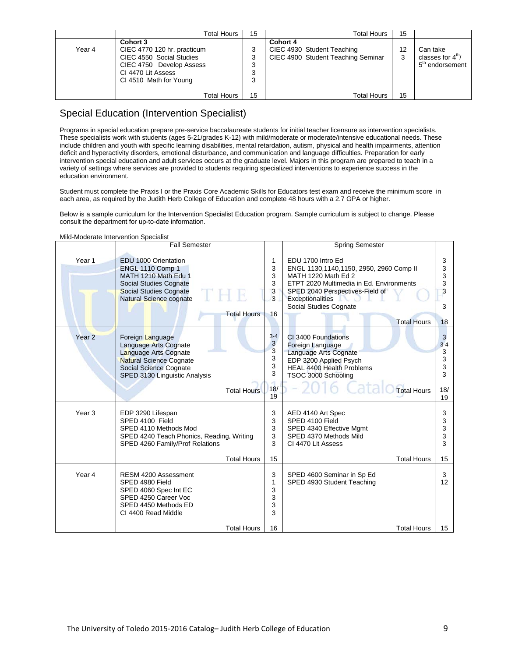|        | Total Hours                                                                                                                                     | 15                    | Total Hours                                                                  | 15      |                                                                        |
|--------|-------------------------------------------------------------------------------------------------------------------------------------------------|-----------------------|------------------------------------------------------------------------------|---------|------------------------------------------------------------------------|
| Year 4 | Cohort 3<br>CIEC 4770 120 hr. practicum<br>CIEC 4550 Social Studies<br>CIEC 4750 Develop Assess<br>CI 4470 Lit Assess<br>CI 4510 Math for Young | 3<br>3<br>C<br>J<br>J | Cohort 4<br>CIEC 4930 Student Teaching<br>CIEC 4900 Student Teaching Seminar | 12<br>3 | Can take<br>classes for $4^{\text{m}}/$<br>5 <sup>th</sup> endorsement |
|        | <b>Total Hours</b>                                                                                                                              | 15                    | <b>Total Hours</b>                                                           | 15      |                                                                        |

## Special Education (Intervention Specialist)

Programs in special education prepare pre-service baccalaureate students for initial teacher licensure as intervention specialists. These specialists work with students (ages 5-21/grades K-12) with mild/moderate or moderate/intensive educational needs. These include children and youth with specific learning disabilities, mental retardation, autism, physical and health impairments, attention deficit and hyperactivity disorders, emotional disturbance, and communication and language difficulties. Preparation for early intervention special education and adult services occurs at the graduate level. Majors in this program are prepared to teach in a variety of settings where services are provided to students requiring specialized interventions to experience success in the education environment.

Student must complete the Praxis I or the Praxis Core Academic Skills for Educators test exam and receive the minimum score in each area, as required by the Judith Herb College of Education and complete 48 hours with a 2.7 GPA or higher.

Below is a sample curriculum for the Intervention Specialist Education program. Sample curriculum is subject to change. Please consult the department for up-to-date information.

| Mild-Moderate Intervention Specialist |  |
|---------------------------------------|--|
|                                       |  |

|                   | <b>Fall Semester</b>                                                                                                                                                                         |                                               | <b>Spring Semester</b>                                                                                                                                                                                                                 |                                               |
|-------------------|----------------------------------------------------------------------------------------------------------------------------------------------------------------------------------------------|-----------------------------------------------|----------------------------------------------------------------------------------------------------------------------------------------------------------------------------------------------------------------------------------------|-----------------------------------------------|
| Year 1            | EDU 1000 Orientation<br><b>ENGL 1110 Comp 1</b><br>MATH 1210 Math Edu 1<br><b>Social Studies Cognate</b><br><b>Social Studies Cognate</b><br>Natural Science cognate<br><b>Total Hours</b>   | 1<br>3<br>3<br>3<br>3<br>3<br>16              | EDU 1700 Intro Ed<br>ENGL 1130,1140,1150, 2950, 2960 Comp II<br>MATH 1220 Math Ed 2<br>ETPT 2020 Multimedia in Ed. Environments<br>SPED 2040 Perspectives-Field of<br>Exceptionalities<br>Social Studies Cognate<br><b>Total Hours</b> | 3<br>3<br>3<br>3<br>3<br>3<br>18              |
| Year <sub>2</sub> | Foreign Language<br>Language Arts Cognate<br>Language Arts Cognate<br><b>Natural Science Cognate</b><br><b>Social Science Cognate</b><br>SPED 3130 Linguistic Analysis<br><b>Total Hours</b> | $3 - 4$<br>3<br>3<br>3<br>3<br>3<br>18/<br>19 | CI 3400 Foundations<br>Foreign Language<br>Language Arts Cognate<br>EDP 3200 Applied Psych<br><b>HEAL 4400 Health Problems</b><br>TSOC 3000 Schooling<br><b>Total Hours</b>                                                            | 3<br>$3 - 4$<br>3<br>3<br>3<br>3<br>18/<br>19 |
| Year <sub>3</sub> | EDP 3290 Lifespan<br>SPED 4100 Field<br>SPED 4110 Methods Mod<br>SPED 4240 Teach Phonics, Reading, Writing<br>SPED 4260 Family/Prof Relations<br><b>Total Hours</b>                          | 3<br>3<br>3<br>3<br>3<br>15                   | AED 4140 Art Spec<br>SPED 4100 Field<br>SPED 4340 Effective Mgmt<br>SPED 4370 Methods Mild<br>CI 4470 Lit Assess<br><b>Total Hours</b>                                                                                                 | 3<br>3<br>3<br>3<br>3<br>15                   |
| Year 4            | RESM 4200 Assessment<br>SPED 4980 Field<br>SPED 4060 Spec Int EC<br>SPED 4250 Career Voc<br>SPED 4450 Methods ED<br>CI 4400 Read Middle<br><b>Total Hours</b>                                | 3<br>1<br>3<br>3<br>3<br>3<br>16              | SPED 4600 Seminar in Sp Ed<br>SPED 4930 Student Teaching<br><b>Total Hours</b>                                                                                                                                                         | 3<br>12<br>15                                 |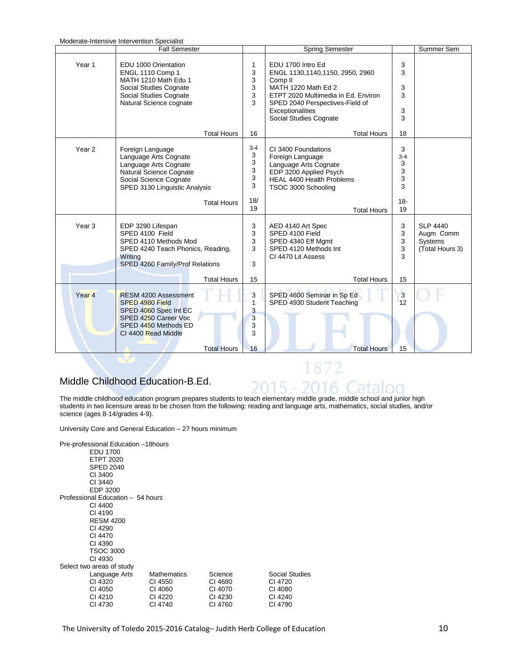| Moderate-Intensive Intervention Specialist |                                                                                                                                                                      |                                            |                                                                                                                                                                                                                           |                                  |                                                                   |  |  |
|--------------------------------------------|----------------------------------------------------------------------------------------------------------------------------------------------------------------------|--------------------------------------------|---------------------------------------------------------------------------------------------------------------------------------------------------------------------------------------------------------------------------|----------------------------------|-------------------------------------------------------------------|--|--|
|                                            | <b>Fall Semester</b>                                                                                                                                                 |                                            | Spring Semester                                                                                                                                                                                                           |                                  | Summer Sem                                                        |  |  |
| Year <sub>1</sub>                          | EDU 1000 Orientation<br>ENGL 1110 Comp 1<br>MATH 1210 Math Edu 1<br>Social Studies Cognate<br>Social Studies Cognate<br>Natural Science cognate                      | 1<br>3<br>3<br>3<br>3<br>3                 | EDU 1700 Intro Ed<br>ENGL 1130,1140,1150, 2950, 2960<br>Comp <sub>II</sub><br>MATH 1220 Math Ed 2<br>ETPT 2020 Multimedia in Ed. Environ<br>SPED 2040 Perspectives-Field of<br>Exceptionalities<br>Social Studies Cognate | 3<br>3<br>3<br>3<br>3<br>3       |                                                                   |  |  |
|                                            | <b>Total Hours</b>                                                                                                                                                   | 16                                         | <b>Total Hours</b>                                                                                                                                                                                                        | 18                               |                                                                   |  |  |
| Year <sub>2</sub>                          | Foreign Language<br>Language Arts Cognate<br>Language Arts Cognate<br>Natural Science Cognate<br>Social Science Cognate<br>SPED 3130 Linguistic Analysis             | $3 - 4$<br>3<br>3<br>3<br>$\mathsf 3$<br>3 | CI 3400 Foundations<br>Foreign Language<br>Language Arts Cognate<br>EDP 3200 Applied Psych<br><b>HEAL 4400 Health Problems</b><br>TSOC 3000 Schooling                                                                     | 3<br>$3 - 4$<br>3<br>3<br>3<br>3 |                                                                   |  |  |
|                                            | <b>Total Hours</b>                                                                                                                                                   | 18/<br>19                                  | <b>Total Hours</b>                                                                                                                                                                                                        | $18 -$<br>19                     |                                                                   |  |  |
| Year <sub>3</sub>                          | EDP 3290 Lifespan<br>SPED 4100 Field<br>SPED 4110 Methods Mod<br>SPED 4240 Teach Phonics, Reading,<br>Writing<br>SPED 4260 Family/Prof Relations                     | 3<br>3<br>3<br>3<br>3                      | AED 4140 Art Spec<br>SPED 4100 Field<br>SPED 4340 Eff Mgmt<br>SPED 4120 Methods Int<br>CI 4470 Lit Assess                                                                                                                 | 3<br>3<br>3<br>3<br>3            | <b>SLP 4440</b><br>Augm Comm<br><b>Systems</b><br>(Total Hours 3) |  |  |
|                                            | <b>Total Hours</b>                                                                                                                                                   | 15                                         | <b>Total Hours</b>                                                                                                                                                                                                        | 15                               |                                                                   |  |  |
| Year <sub>4</sub>                          | <b>RESM 4200 Assessment</b><br>SPED 4980 Field<br>SPED 4060 Spec Int EC<br>SPED 4250 Career Voc<br>SPED 4450 Methods ED<br>CI 4400 Read Middle<br><b>Total Hours</b> | 3<br>1<br>3<br>3<br>3<br>3<br>16           | SPED 4600 Seminar in Sp Ed<br>SPED 4930 Student Teaching<br><b>Total Hours</b>                                                                                                                                            | $\overline{3}$<br>12<br>15       |                                                                   |  |  |

## Middle Childhood Education-B.Ed.

The middle childhood education program prepares students to teach elementary middle grade, middle school and junior high students in two licensure areas to be chosen from the following: reading and language arts, mathematics, social studies, and/or science (ages 8-14/grades 4-9).

5

1872

University Core and General Education – 27 hours minimum

| Pre-professional Education -18 hours<br>EDU 1700<br><b>ETPT 2020</b><br><b>SPED 2040</b><br>CI 3400<br>CI 3440<br>EDP 3200 |                                                                |                                                     |                                                            |
|----------------------------------------------------------------------------------------------------------------------------|----------------------------------------------------------------|-----------------------------------------------------|------------------------------------------------------------|
| Professional Education - 54 hours                                                                                          |                                                                |                                                     |                                                            |
| CI 4400                                                                                                                    |                                                                |                                                     |                                                            |
| CI 4190                                                                                                                    |                                                                |                                                     |                                                            |
| <b>RESM 4200</b>                                                                                                           |                                                                |                                                     |                                                            |
| CI 4290                                                                                                                    |                                                                |                                                     |                                                            |
| CI 4470                                                                                                                    |                                                                |                                                     |                                                            |
| CI 4390                                                                                                                    |                                                                |                                                     |                                                            |
| <b>TSOC 3000</b>                                                                                                           |                                                                |                                                     |                                                            |
| CI 4930                                                                                                                    |                                                                |                                                     |                                                            |
| Select two areas of study                                                                                                  |                                                                |                                                     |                                                            |
| Language Arts<br>CI 4320<br>CI 4050<br>CI 4210<br>CI 4730                                                                  | <b>Mathematics</b><br>CI 4550<br>CI 4060<br>CI 4220<br>CI 4740 | Science<br>CI 4680<br>CI 4070<br>CI 4230<br>CI 4760 | Social Studies<br>CI 4720<br>CI 4080<br>CI 4240<br>CI 4790 |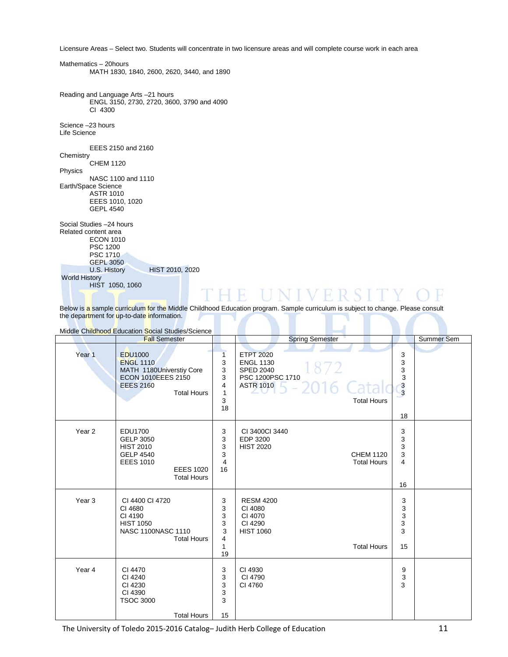Licensure Areas – Select two. Students will concentrate in two licensure areas and will complete course work in each area

Mathematics – 20hours MATH 1830, 1840, 2600, 2620, 3440, and 1890

Reading and Language Arts –21 hours ENGL 3150, 2730, 2720, 3600, 3790 and 4090 CI 4300

HIST 2010, 2020

Science –23 hours Life Science

EEES 2150 and 2160

**Chemistry** CHEM 1120

Physics NASC 1100 and 1110 Earth/Space Science ASTR 1010 EEES 1010, 1020 GEPL 4540

Social Studies –24 hours Related content area ECON 1010 PSC 1200 PSC 1710 GEPL 3050<br>U.S. History World History HIST 1050, 1060

Below is a sample curriculum for the Middle Childhood Education program. Sample curriculum is subject to change. Please consult the department for up-to-date information.

 $\mathsf{L} \vee \mathsf{H} \mathsf{R}$ 

R

| Middle Childhood Education Social Studies/Science |                                                                                                                                       |                                                  |                                                                                                                                    |                                                                 |            |  |  |
|---------------------------------------------------|---------------------------------------------------------------------------------------------------------------------------------------|--------------------------------------------------|------------------------------------------------------------------------------------------------------------------------------------|-----------------------------------------------------------------|------------|--|--|
|                                                   | <b>Fall Semester</b>                                                                                                                  |                                                  | <b>Spring Semester</b>                                                                                                             |                                                                 | Summer Sem |  |  |
| Year <sub>1</sub>                                 | <b>EDU1000</b><br><b>ENGL 1110</b><br>MATH 1180Universtiy Core<br><b>ECON 1010EEES 2150</b><br><b>EEES 2160</b><br><b>Total Hours</b> | 1<br>3<br>3<br>3<br>4<br>$\mathbf{1}$<br>3<br>18 | <b>ETPT 2020</b><br><b>ENGL 1130</b><br>1872<br><b>SPED 2040</b><br>PSC 1200PSC 1710<br>ASTR 1010 $5 - 2016$<br><b>Total Hours</b> | 3<br>3<br>3<br>$\ensuremath{\mathsf{3}}$<br>$\frac{3}{3}$<br>18 |            |  |  |
| Year <sub>2</sub>                                 | EDU1700<br><b>GELP 3050</b><br><b>HIST 2010</b><br><b>GELP 4540</b><br><b>EEES 1010</b><br><b>EEES 1020</b><br><b>Total Hours</b>     | 3<br>3<br>3<br>3<br>$\overline{4}$<br>16         | CI 3400CI 3440<br>EDP 3200<br><b>HIST 2020</b><br><b>CHEM 1120</b><br><b>Total Hours</b>                                           | 3<br>3<br>3<br>3<br>$\overline{\mathbf{4}}$<br>16               |            |  |  |
| Year <sub>3</sub>                                 | CI 4400 CI 4720<br>CI 4680<br>CI 4190<br><b>HIST 1050</b><br>NASC 1100NASC 1110<br><b>Total Hours</b>                                 | 3<br>3<br>3<br>3<br>3<br>4<br>1<br>19            | <b>RESM 4200</b><br>CI 4080<br>CI 4070<br>CI 4290<br><b>HIST 1060</b><br><b>Total Hours</b>                                        | 3<br>3<br>3<br>3<br>3<br>15                                     |            |  |  |
| Year 4                                            | CI 4470<br>CI 4240<br>CI 4230<br>CI 4390<br><b>TSOC 3000</b><br><b>Total Hours</b>                                                    | 3<br>3<br>3<br>3<br>3<br>15                      | CI 4930<br>CI 4790<br>CI 4760                                                                                                      | 9<br>$\ensuremath{\mathsf{3}}$<br>3                             |            |  |  |

The University of Toledo 2015-2016 Catalog– Judith Herb College of Education 11

H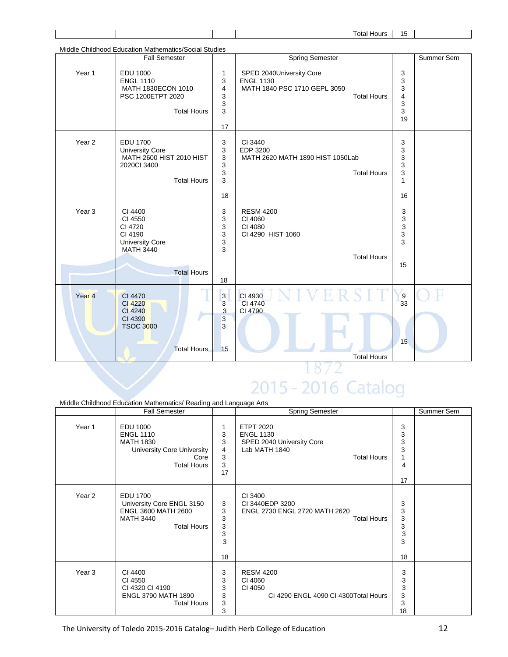|                   |                                                                                                              |                                                              | <b>Total Hours</b>                                                                                 | 15                                          |            |
|-------------------|--------------------------------------------------------------------------------------------------------------|--------------------------------------------------------------|----------------------------------------------------------------------------------------------------|---------------------------------------------|------------|
|                   |                                                                                                              |                                                              |                                                                                                    |                                             |            |
|                   | Middle Childhood Education Mathematics/Social Studies<br><b>Fall Semester</b>                                |                                                              | <b>Spring Semester</b>                                                                             |                                             | Summer Sem |
| Year 1            | <b>EDU 1000</b><br><b>ENGL 1110</b><br>MATH 1830ECON 1010<br>PSC 1200ETPT 2020<br><b>Total Hours</b>         | 1<br>3<br>4<br>3<br>3<br>3<br>17                             | SPED 2040University Core<br><b>ENGL 1130</b><br>MATH 1840 PSC 1710 GEPL 3050<br><b>Total Hours</b> | 3<br>3<br>3<br>4<br>3<br>3<br>19            |            |
| Year <sub>2</sub> | EDU 1700<br><b>University Core</b><br>MATH 2600 HIST 2010 HIST<br>2020Cl 3400<br><b>Total Hours</b>          | 3<br>3<br>3<br>3<br>3<br>3<br>18                             | CI 3440<br>EDP 3200<br>MATH 2620 MATH 1890 HIST 1050Lab<br><b>Total Hours</b>                      | 3<br>3<br>3<br>3<br>3<br>$\mathbf{1}$<br>16 |            |
| Year <sub>3</sub> | CI 4400<br>CI 4550<br>CI 4720<br>CI 4190<br><b>University Core</b><br><b>MATH 3440</b><br><b>Total Hours</b> | 3<br>3<br>3<br>3<br>3<br>3<br>18                             | <b>RESM 4200</b><br>CI 4060<br>CI 4080<br>CI 4290 HIST 1060<br><b>Total Hours</b>                  | 3<br>3<br>$\mathsf 3$<br>3<br>3<br>15       |            |
| Year <sub>4</sub> | CI 4470<br>CI 4220<br>CI 4240<br>CI 4390<br><b>TSOC 3000</b><br><b>Total Hours</b>                           | $\overline{\mathbf{3}}$<br>3<br>$\mathbf{3}$<br>3<br>3<br>15 | CI 4930<br>CI 4740<br>CI 4790<br><b>Total Hours</b>                                                | $\frac{9}{33}$<br>15                        |            |

# 2015 - 2016 Catalog

| Middle Childhood Education Mathematics/ Reading and Language Arts |                                                                                                                            |                                  |                                                                                                          |                                  |            |  |  |
|-------------------------------------------------------------------|----------------------------------------------------------------------------------------------------------------------------|----------------------------------|----------------------------------------------------------------------------------------------------------|----------------------------------|------------|--|--|
|                                                                   | <b>Fall Semester</b>                                                                                                       |                                  | <b>Spring Semester</b>                                                                                   |                                  | Summer Sem |  |  |
| Year 1                                                            | <b>EDU 1000</b><br><b>ENGL 1110</b><br><b>MATH 1830</b><br><b>University Core University</b><br>Core<br><b>Total Hours</b> | 1<br>3<br>3<br>4<br>3<br>3<br>17 | <b>ETPT 2020</b><br><b>ENGL 1130</b><br>SPED 2040 University Core<br>Lab MATH 1840<br><b>Total Hours</b> | 3<br>3<br>3<br>3<br>4<br>17      |            |  |  |
| Year <sub>2</sub>                                                 | <b>EDU 1700</b><br>University Core ENGL 3150<br>ENGL 3600 MATH 2600<br><b>MATH 3440</b><br><b>Total Hours</b>              | 3<br>3<br>3<br>3<br>3<br>3<br>18 | CI 3400<br>CI 3440EDP 3200<br>ENGL 2730 ENGL 2720 MATH 2620<br><b>Total Hours</b>                        | 3<br>3<br>3<br>3<br>3<br>3<br>18 |            |  |  |
| Year <sub>3</sub>                                                 | CI 4400<br>CI 4550<br>CI 4320 CI 4190<br><b>ENGL 3790 MATH 1890</b><br><b>Total Hours</b>                                  | 3<br>3<br>3<br>3<br>3<br>3       | <b>RESM 4200</b><br>CI 4060<br>CI 4050<br>CI 4290 ENGL 4090 CI 4300 Total Hours                          | 3<br>3<br>3<br>3<br>3<br>18      |            |  |  |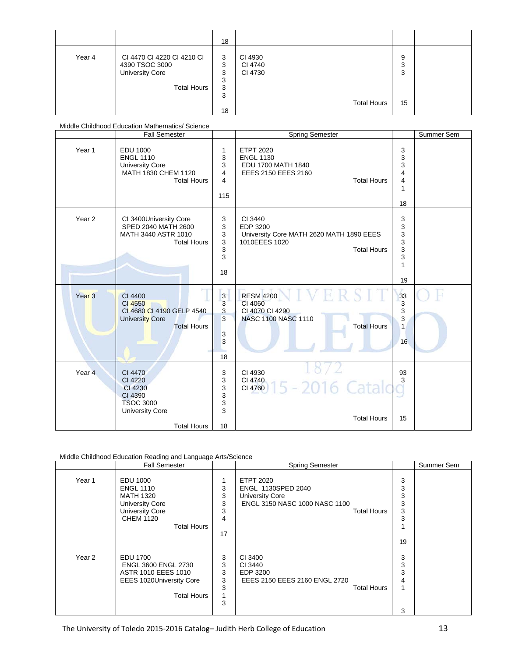|        |                                                                                              | 18                               |                                                     |                   |  |
|--------|----------------------------------------------------------------------------------------------|----------------------------------|-----------------------------------------------------|-------------------|--|
| Year 4 | CI 4470 CI 4220 CI 4210 CI<br>4390 TSOC 3000<br><b>University Core</b><br><b>Total Hours</b> | 3<br>3<br>3<br>3<br>3<br>3<br>18 | CI 4930<br>CI 4740<br>CI 4730<br><b>Total Hours</b> | 9<br>3<br>3<br>15 |  |

|                   | Middle Childhood Education Mathematics/ Science                                                              |                                             |                                                                                                         |                                                |            |
|-------------------|--------------------------------------------------------------------------------------------------------------|---------------------------------------------|---------------------------------------------------------------------------------------------------------|------------------------------------------------|------------|
|                   | <b>Fall Semester</b>                                                                                         |                                             | <b>Spring Semester</b>                                                                                  |                                                | Summer Sem |
| Year 1            | <b>EDU 1000</b><br><b>ENGL 1110</b><br><b>University Core</b><br>MATH 1830 CHEM 1120<br><b>Total Hours</b>   | 1<br>3<br>3<br>4<br>4<br>115                | <b>ETPT 2020</b><br><b>ENGL 1130</b><br>EDU 1700 MATH 1840<br>EEES 2150 EEES 2160<br><b>Total Hours</b> | 3<br>3<br>3<br>4<br>4<br>1<br>18               |            |
| Year <sub>2</sub> | CI 3400University Core<br>SPED 2040 MATH 2600<br>MATH 3440 ASTR 1010<br><b>Total Hours</b>                   | 3<br>3<br>3<br>3<br>3<br>3<br>18            | CI 3440<br>EDP 3200<br>University Core MATH 2620 MATH 1890 EEES<br>1010EEES 1020<br><b>Total Hours</b>  | 3<br>3<br>3<br>3<br>3<br>3<br>1<br>19          |            |
| Year <sub>3</sub> | CI 4400<br>CI 4550<br>CI 4680 CI 4190 GELP 4540<br><b>University Core</b><br><b>Total Hours</b>              | $\mathbf{3}$<br>3<br>3<br>3<br>3<br>3<br>18 | <b>RESM 4200</b><br>CI 4060<br>CI 4070 CI 4290<br><b>NASC 1100 NASC 1110</b><br><b>Total Hours</b>      | $\frac{33}{3}$<br>3<br>3<br>$\mathbf{1}$<br>16 |            |
| Year 4            | CI 4470<br>CI 4220<br>CI 4230<br>CI 4390<br><b>TSOC 3000</b><br><b>University Core</b><br><b>Total Hours</b> | 3<br>3<br>3<br>3<br>3<br>3<br>18            | CI 4930<br>CI 4740<br>$G(4760)$ 15 - 2016 Catalog<br><b>Total Hours</b>                                 | 93<br>3<br>15                                  |            |

#### Middle Childhood Education Reading and Language Arts/Science

|        | <b>Fall Semester</b>                                                                                                                           |                                  | <b>Spring Semester</b>                                                                                                  |                                  | Summer Sem |
|--------|------------------------------------------------------------------------------------------------------------------------------------------------|----------------------------------|-------------------------------------------------------------------------------------------------------------------------|----------------------------------|------------|
| Year 1 | EDU 1000<br><b>ENGL 1110</b><br><b>MATH 1320</b><br><b>University Core</b><br><b>University Core</b><br><b>CHEM 1120</b><br><b>Total Hours</b> | 1<br>3<br>3<br>3<br>3<br>4<br>17 | <b>ETPT 2020</b><br>ENGL 1130SPED 2040<br><b>University Core</b><br>ENGL 3150 NASC 1000 NASC 1100<br><b>Total Hours</b> | 3<br>3<br>3<br>3<br>3<br>3<br>19 |            |
| Year 2 | <b>EDU 1700</b><br><b>ENGL 3600 ENGL 2730</b><br>ASTR 1010 EEES 1010<br><b>EEES 1020University Core</b><br><b>Total Hours</b>                  | 3<br>3<br>3<br>3<br>3<br>3       | CI 3400<br>CI 3440<br>EDP 3200<br>EEES 2150 EEES 2160 ENGL 2720<br><b>Total Hours</b>                                   | 3<br>3<br>3<br>4<br>3            |            |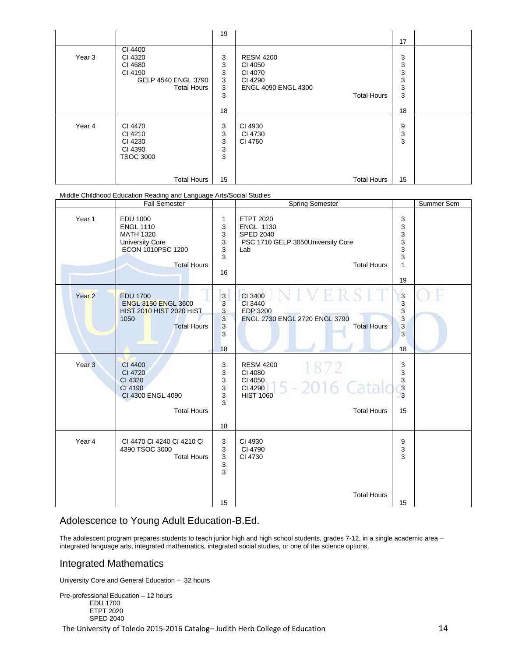|        |                     | 19          |                            | 17 |  |
|--------|---------------------|-------------|----------------------------|----|--|
|        |                     |             |                            |    |  |
|        | CI 4400             |             |                            |    |  |
| Year 3 | CI 4320             | 3           | <b>RESM 4200</b>           | 3  |  |
|        | CI 4680             | 3           | CI 4050                    | 3  |  |
|        | CI 4190             | 3           | CI 4070                    | 3  |  |
|        | GELP 4540 ENGL 3790 | 3           | CI 4290                    | 3  |  |
|        | <b>Total Hours</b>  | 3           | <b>ENGL 4090 ENGL 4300</b> | 3  |  |
|        |                     | 3           | <b>Total Hours</b>         | 3  |  |
|        |                     |             |                            |    |  |
|        |                     | 18          |                            | 18 |  |
|        |                     |             |                            |    |  |
| Year 4 | CI 4470             | 3           | CI 4930                    | 9  |  |
|        | CI 4210             | 3           | CI 4730                    | 3  |  |
|        | CI 4230             | 3           | CI 4760                    | 3  |  |
|        | CI 4390             | $\mathsf 3$ |                            |    |  |
|        | <b>TSOC 3000</b>    | 3           |                            |    |  |
|        |                     |             |                            |    |  |
|        |                     |             |                            |    |  |
|        | <b>Total Hours</b>  | 15          | <b>Total Hours</b>         | 15 |  |

Middle Childhood Education Reading and Language Arts/Social Studies

| Year 1<br>Year <sub>2</sub><br>1050 | <b>EDU 1000</b>                                                                                           | 1                                                          |                                                                                                                            |                                                      |  |
|-------------------------------------|-----------------------------------------------------------------------------------------------------------|------------------------------------------------------------|----------------------------------------------------------------------------------------------------------------------------|------------------------------------------------------|--|
|                                     | <b>ENGL 1110</b><br><b>MATH 1320</b><br><b>University Core</b><br>ECON 1010PSC 1200<br><b>Total Hours</b> | 3<br>3<br>3<br>3<br>3<br>16                                | <b>ETPT 2020</b><br><b>ENGL 1130</b><br><b>SPED 2040</b><br>PSC 1710 GELP 3050University Core<br>Lab<br><b>Total Hours</b> | 3<br>3<br>3<br>3<br>3<br>3<br>1<br>19                |  |
|                                     | <b>EDU 1700</b><br><b>ENGL 3150 ENGL 3600</b><br><b>HIST 2010 HIST 2020 HIST</b><br><b>Total Hours</b>    | 3<br>3<br>3<br>$\overline{3}$<br>$\overline{3}$<br>3<br>18 | CI 3400<br>CI 3440<br>EDP 3200<br>ENGL 2730 ENGL 2720 ENGL 3790<br><b>Total Hours</b>                                      | $\frac{3}{3}$<br>3<br>3<br>$\overline{3}$<br>3<br>18 |  |
| Year <sub>3</sub>                   | CI 4400<br>CI 4720<br>CI 4320<br>CI 4190<br>CI 4300 ENGL 4090<br><b>Total Hours</b>                       | 3<br>3<br>3<br>3<br>3<br>3<br>18                           | <b>RESM 4200</b><br>1872<br>CI 4080<br>CI 4050<br>5 - 2016 Catak<br>CI 4290<br><b>HIST 1060</b><br><b>Total Hours</b>      | 3<br>3<br>$\frac{3}{3}$<br>15                        |  |
| Year 4                              | CI 4470 CI 4240 CI 4210 CI<br>4390 TSOC 3000<br><b>Total Hours</b>                                        | 3<br>3<br>$\mathbf{3}$<br>$\mathbf{3}$<br>3                | CI 4930<br>CI 4790<br>CI 4730                                                                                              | 9<br>3<br>3                                          |  |

#### Adolescence to Young Adult Education-B.Ed.

The adolescent program prepares students to teach junior high and high school students, grades 7-12, in a single academic area integrated language arts, integrated mathematics, integrated social studies, or one of the science options.

#### Integrated Mathematics

University Core and General Education – 32 hours

Pre-professional Education – 12 hours EDU 1700 ETPT 2020 SPED 2040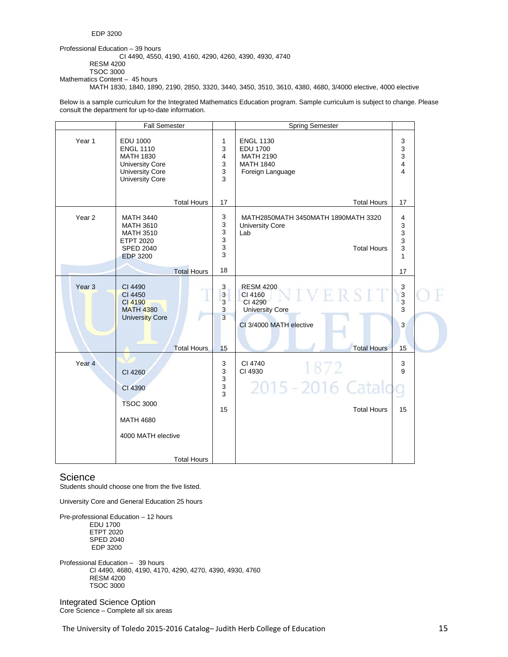Professional Education – 39 hours CI 4490, 4550, 4190, 4160, 4290, 4260, 4390, 4930, 4740 RESM 4200 TSOC 3000 Mathematics Content – 45 hours MATH 1830, 1840, 1890, 2190, 2850, 3320, 3440, 3450, 3510, 3610, 4380, 4680, 3/4000 elective, 4000 elective

Below is a sample curriculum for the Integrated Mathematics Education program. Sample curriculum is subject to change. Please consult the department for up-to-date information.

|                   | <b>Fall Semester</b>                                                                                                           |                                                                                      | <b>Spring Semester</b>                                                                                            |                                                       |  |
|-------------------|--------------------------------------------------------------------------------------------------------------------------------|--------------------------------------------------------------------------------------|-------------------------------------------------------------------------------------------------------------------|-------------------------------------------------------|--|
| Year 1            | <b>EDU 1000</b><br><b>ENGL 1110</b><br><b>MATH 1830</b><br><b>University Core</b><br><b>University Core</b><br>University Core | 1<br>$\mathsf 3$<br>4<br>3<br>$\mathsf 3$<br>3                                       | <b>ENGL 1130</b><br><b>EDU 1700</b><br><b>MATH 2190</b><br><b>MATH 1840</b><br>Foreign Language                   | 3<br>3<br>3<br>4<br>4                                 |  |
|                   | <b>Total Hours</b>                                                                                                             | 17                                                                                   | <b>Total Hours</b>                                                                                                | 17                                                    |  |
| Year <sub>2</sub> | <b>MATH 3440</b><br><b>MATH 3610</b><br><b>MATH 3510</b><br><b>ETPT 2020</b><br><b>SPED 2040</b><br><b>EDP 3200</b>            | 3<br>3<br>$\ensuremath{\mathsf{3}}$<br>$\mathsf 3$<br>$\ensuremath{\mathsf{3}}$<br>3 | MATH2850MATH 3450MATH 1890MATH 3320<br><b>University Core</b><br>Lab<br><b>Total Hours</b>                        | 4<br>3<br>3<br>3<br>3<br>$\mathbf{1}$                 |  |
|                   | <b>Total Hours</b>                                                                                                             | 18                                                                                   |                                                                                                                   | 17                                                    |  |
| Year <sub>3</sub> | CI 4490<br>CI 4450<br>CI 4190<br><b>MATH 4380</b><br><b>University Core</b><br><b>Total Hours</b>                              | $\mathbf{3}$<br>$\overline{3}$<br>$\overline{3}$<br>$\mathbf{3}$<br>3<br>15          | <b>RESM 4200</b><br>CI 4160<br>CI 4290<br><b>University Core</b><br>CI 3/4000 MATH elective<br><b>Total Hours</b> | $\begin{array}{c} 3 \\ 3 \end{array}$<br>3<br>3<br>15 |  |
| Year <sub>4</sub> | CI 4260<br>CI 4390<br><b>TSOC 3000</b><br><b>MATH 4680</b><br>4000 MATH elective<br><b>Total Hours</b>                         | 3<br>3<br>$\mathsf 3$<br>3<br>3<br>15                                                | CI 4740<br>1872<br>CI 4930<br>2015 - 2016 Catalog<br><b>Total Hours</b>                                           | 3<br>9<br>15                                          |  |

#### **Science**

Students should choose one from the five listed.

University Core and General Education 25 hours

Pre-professional Education – 12 hours EDU 1700 ETPT 2020 SPED 2040 EDP 3200

Professional Education – 39 hours CI 4490, 4680, 4190, 4170, 4290, 4270, 4390, 4930, 4760 RESM 4200 TSOC 3000

Integrated Science Option Core Science – Complete all six areas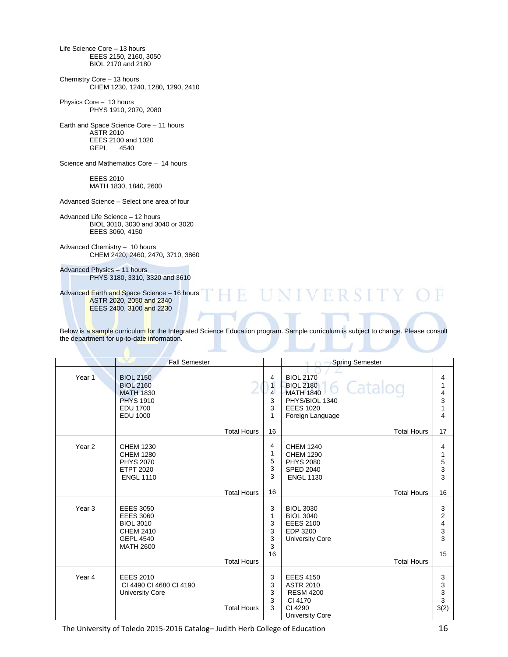Life Science Core – 13 hours EEES 2150, 2160, 3050 BIOL 2170 and 2180 Chemistry Core – 13 hours CHEM 1230, 1240, 1280, 1290, 2410 Physics Core – 13 hours PHYS 1910, 2070, 2080 Earth and Space Science Core – 11 hours ASTR 2010 EEES 2100 and 1020<br>GEPL 4540 4540 Science and Mathematics Core – 14 hours EEES 2010 MATH 1830, 1840, 2600 Advanced Science – Select one area of four Advanced Life Science – 12 hours BIOL 3010, 3030 and 3040 or 3020 EEES 3060, 4150 Advanced Chemistry – 10 hours CHEM 2420, 2460, 2470, 3710, 3860 Advanced Physics – 11 hours

PHYS 3180, 3310, 3320 and 3610

Advanced Earth and Space Science – 16 hours ASTR 2020, 2050 and 2340 EEES 2400, 3100 and 2230

Below is a sample curriculum for the Integrated Science Education program. Sample curriculum is subject to change. Please consult the department for up-to-date information.

R.

**UNIVERSITY** 

|                   | <b>Fall Semester</b>                                                                                                 |                    |                                                               | <b>Spring Semester</b>                                                                                                          |                             |
|-------------------|----------------------------------------------------------------------------------------------------------------------|--------------------|---------------------------------------------------------------|---------------------------------------------------------------------------------------------------------------------------------|-----------------------------|
| Year 1            | <b>BIOL 2150</b><br><b>BIOL 2160</b><br><b>MATH 1830</b><br><b>PHYS 1910</b><br><b>EDU 1700</b><br><b>EDU 1000</b>   |                    | 4<br>$\overline{1}$<br>$\overline{\mathbf{4}}$<br>3<br>3<br>1 | <b>BIOL 2170</b><br>6 Catalog<br><b>BIOL 2180</b><br><b>MATH 1840</b><br>PHYS/BIOL 1340<br><b>EEES 1020</b><br>Foreign Language | 4<br>1<br>4<br>3<br>1<br>4  |
|                   |                                                                                                                      | <b>Total Hours</b> | 16                                                            | <b>Total Hours</b>                                                                                                              | 17                          |
| Year <sub>2</sub> | <b>CHEM 1230</b><br><b>CHEM 1280</b><br><b>PHYS 2070</b><br><b>ETPT 2020</b><br><b>ENGL 1110</b>                     | <b>Total Hours</b> | 4<br>1<br>5<br>3<br>3<br>16                                   | <b>CHEM 1240</b><br><b>CHEM 1290</b><br><b>PHYS 2080</b><br><b>SPED 2040</b><br><b>ENGL 1130</b><br><b>Total Hours</b>          | 4<br>1<br>5<br>3<br>3<br>16 |
| Year <sub>3</sub> | <b>EEES 3050</b><br><b>EEES 3060</b><br><b>BIOL 3010</b><br><b>CHEM 2410</b><br><b>GEPL 4540</b><br><b>MATH 2600</b> | <b>Total Hours</b> | 3<br>1<br>3<br>3<br>3<br>3<br>16                              | <b>BIOL 3030</b><br><b>BIOL 3040</b><br><b>EEES 2100</b><br>EDP 3200<br><b>University Core</b><br><b>Total Hours</b>            | 3<br>2<br>4<br>3<br>3<br>15 |
| Year 4            | <b>EEES 2010</b><br>CI 4490 CI 4680 CI 4190<br><b>University Core</b>                                                | <b>Total Hours</b> | 3<br>3<br>3<br>3<br>3                                         | <b>EEES 4150</b><br><b>ASTR 2010</b><br><b>RESM 4200</b><br>CI 4170<br>CI 4290<br><b>University Core</b>                        | 3<br>3<br>3<br>3<br>3(2)    |

The University of Toledo 2015-2016 Catalog– Judith Herb College of Education 16

Ħ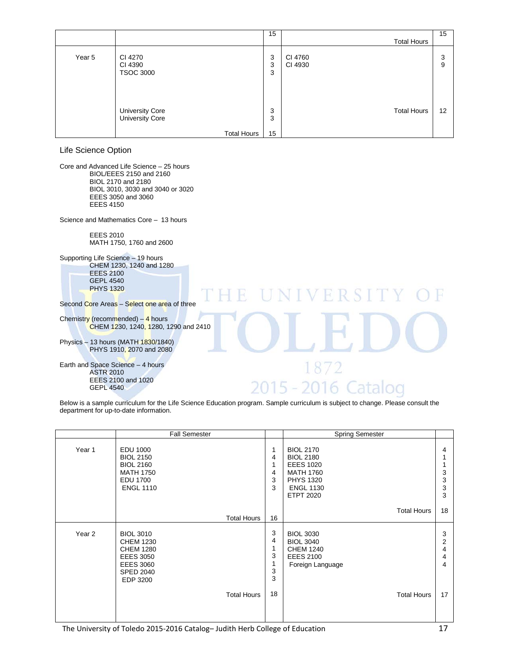|        |                                                          | 15           |                    | 15                |
|--------|----------------------------------------------------------|--------------|--------------------|-------------------|
|        |                                                          |              | <b>Total Hours</b> |                   |
| Year 5 | CI 4270<br>CI 4390<br><b>TSOC 3000</b>                   | 3<br>3<br>3  | CI 4760<br>CI 4930 | 3<br>9            |
|        | University Core<br>University Core<br><b>Total Hours</b> | 3<br>3<br>15 | <b>Total Hours</b> | $12 \overline{ }$ |

Life Science Option

Core and Advanced Life Science – 25 hours BIOL/EEES 2150 and 2160 BIOL 2170 and 2180 BIOL 3010, 3030 and 3040 or 3020 EEES 3050 and 3060 EEES 4150

Science and Mathematics Core – 13 hours

EEES 2010 MATH 1750, 1760 and 2600

Supporting Life Science – 19 hours CHEM 1230, 1240 and 1280 EEES 2100 GEPL 4540 PHYS 1320

Second Core Areas – Select one area of three

Chemistry (recommended)  $-4$  hours CHEM 1230, 1240, 1280, 1290 and 2410

Physics – 13 hours (MATH 1830/1840) PHYS 1910, 2070 and 2080

Earth and Space Science – 4 hours ASTR 2010 EEES 2100 and 1020 GEPL 4540

Below is a sample curriculum for the Life Science Education program. Sample curriculum is subject to change. Please consult the department for up-to-date information.

 $2015 -$ 

 $\vee$   $\vdash$ 

872

2016 Catalog

|        | <b>Fall Semester</b>                                                                                                             |                    |                            | <b>Spring Semester</b>                                                                                                                   |                                    |
|--------|----------------------------------------------------------------------------------------------------------------------------------|--------------------|----------------------------|------------------------------------------------------------------------------------------------------------------------------------------|------------------------------------|
| Year 1 | EDU 1000<br><b>BIOL 2150</b><br><b>BIOL 2160</b><br><b>MATH 1750</b><br><b>EDU 1700</b><br><b>ENGL 1110</b>                      |                    | 1<br>4<br>1<br>4<br>3<br>3 | <b>BIOL 2170</b><br><b>BIOL 2180</b><br><b>EEES 1020</b><br><b>MATH 1760</b><br><b>PHYS 1320</b><br><b>ENGL 1130</b><br><b>ETPT 2020</b> | 4<br>3<br>3<br>3<br>3              |
|        |                                                                                                                                  | <b>Total Hours</b> | 16                         | <b>Total Hours</b>                                                                                                                       | 18                                 |
| Year 2 | <b>BIOL 3010</b><br><b>CHEM 1230</b><br><b>CHEM 1280</b><br><b>EEES 3050</b><br><b>EEES 3060</b><br><b>SPED 2040</b><br>EDP 3200 |                    | 3<br>4<br>1<br>3<br>3<br>3 | <b>BIOL 3030</b><br><b>BIOL 3040</b><br><b>CHEM 1240</b><br><b>EEES 2100</b><br>Foreign Language                                         | 3<br>$\overline{2}$<br>4<br>4<br>4 |
|        |                                                                                                                                  | <b>Total Hours</b> | 18                         | <b>Total Hours</b>                                                                                                                       | 17                                 |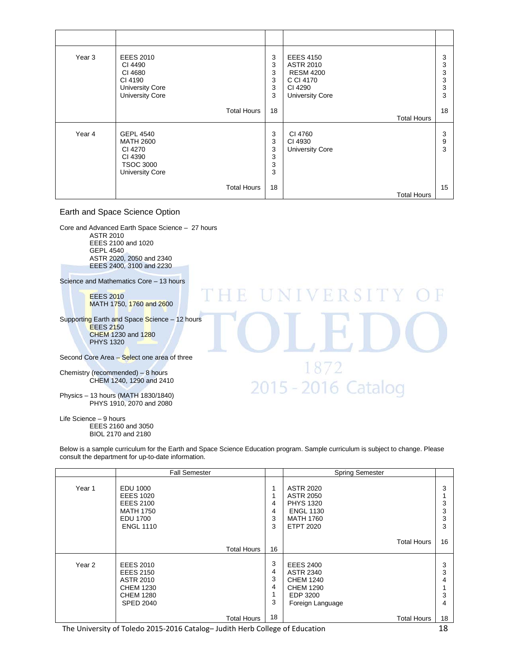| Year 3 | <b>EEES 2010</b><br>CI 4490<br>CI 4680<br>CI 4190<br><b>University Core</b><br><b>University Core</b>    | 3<br>3<br>3<br>3<br>3<br>3 | <b>EEES 4150</b><br><b>ASTR 2010</b><br><b>RESM 4200</b><br>C CI 4170<br>CI 4290<br><b>University Core</b> | 3<br>3<br>3<br>3<br>3<br>3 |
|--------|----------------------------------------------------------------------------------------------------------|----------------------------|------------------------------------------------------------------------------------------------------------|----------------------------|
|        | <b>Total Hours</b>                                                                                       | 18                         | <b>Total Hours</b>                                                                                         | 18                         |
| Year 4 | <b>GEPL 4540</b><br><b>MATH 2600</b><br>CI 4270<br>CI 4390<br><b>TSOC 3000</b><br><b>University Core</b> | 3<br>3<br>3<br>3<br>3<br>3 | CI 4760<br>CI 4930<br><b>University Core</b>                                                               | 3<br>9<br>3                |
|        | <b>Total Hours</b>                                                                                       | 18                         | Total Hours                                                                                                | 15                         |

#### Earth and Space Science Option

Core and Advanced Earth Space Science – 27 hours ASTR 2010 EEES 2100 and 1020 GEPL 4540 ASTR 2020, 2050 and 2340 EEES 2400, 3100 and 2230

Science and Mathematics Core – 13 hours

EEES 2010 MATH 1750, 1760 and 2600

Supporting Earth and Space Science – 12 hours EEES 2150 CHEM 1230 and 1280 PHYS 1320

Second Core Area - Select one area of three

Chemistry (recommended) – 8 hours CHEM 1240, 1290 and 2410

Physics – 13 hours (MATH 1830/1840) PHYS 1910, 2070 and 2080

Life Science – 9 hours EEES 2160 and 3050 BIOL 2170 and 2180

Below is a sample curriculum for the Earth and Space Science Education program. Sample curriculum is subject to change. Please consult the department for up-to-date information.

R

**IINIVERSIT** 

1872

2015 - 2016 Catalog

|                   | <b>Fall Semester</b>                                                                                                 |                            | <b>Spring Semester</b>                                                                                               |                       |
|-------------------|----------------------------------------------------------------------------------------------------------------------|----------------------------|----------------------------------------------------------------------------------------------------------------------|-----------------------|
| Year 1            | EDU 1000<br><b>EEES 1020</b><br><b>EEES 2100</b><br><b>MATH 1750</b><br><b>EDU 1700</b><br><b>ENGL 1110</b>          | 1<br>1<br>4<br>4<br>3<br>3 | <b>ASTR 2020</b><br><b>ASTR 2050</b><br><b>PHYS 1320</b><br><b>ENGL 1130</b><br><b>MATH 1760</b><br><b>ETPT 2020</b> | 3<br>3<br>3<br>3<br>3 |
|                   | Total Hours                                                                                                          | 16                         | <b>Total Hours</b>                                                                                                   | 16                    |
| Year <sub>2</sub> | <b>EEES 2010</b><br><b>EEES 2150</b><br><b>ASTR 2010</b><br><b>CHEM 1230</b><br><b>CHEM 1280</b><br><b>SPED 2040</b> | 3<br>4<br>3<br>4<br>3      | <b>EEES 2400</b><br><b>ASTR 2340</b><br><b>CHEM 1240</b><br><b>CHEM 1290</b><br>EDP 3200<br>Foreign Language         | 3<br>3<br>4<br>3<br>4 |
|                   | Total Hours                                                                                                          | 18                         | <b>Total Hours</b>                                                                                                   | 18                    |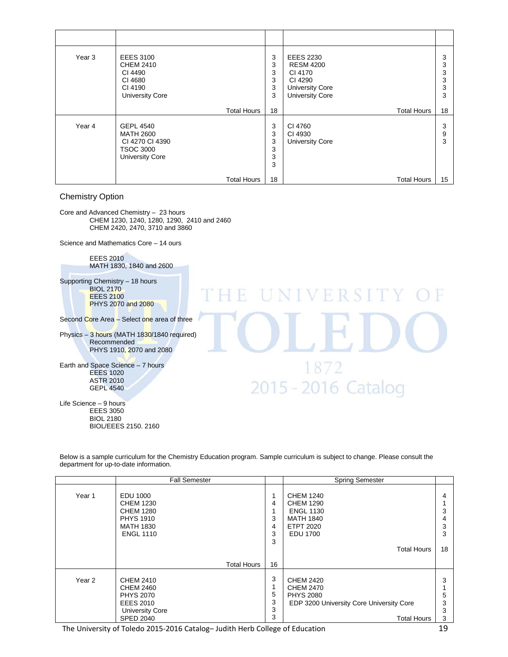| Year 3 | <b>EEES 3100</b><br><b>CHEM 2410</b><br>CI 4490<br>CI 4680<br>CI 4190<br><b>University Core</b>       | 3<br>3<br>3<br>3<br>3<br>3 | <b>EEES 2230</b><br><b>RESM 4200</b><br>CI 4170<br>CI 4290<br><b>University Core</b><br><b>University Core</b> | 3<br>3<br>3<br>3<br>3<br>3 |
|--------|-------------------------------------------------------------------------------------------------------|----------------------------|----------------------------------------------------------------------------------------------------------------|----------------------------|
|        | <b>Total Hours</b>                                                                                    | 18                         | <b>Total Hours</b>                                                                                             | 18                         |
| Year 4 | <b>GEPL 4540</b><br><b>MATH 2600</b><br>CI 4270 CI 4390<br><b>TSOC 3000</b><br><b>University Core</b> | 3<br>3<br>3<br>3<br>3<br>3 | CI 4760<br>CI 4930<br><b>University Core</b>                                                                   | 3<br>9<br>3                |
|        | <b>Total Hours</b>                                                                                    | 18                         | <b>Total Hours</b>                                                                                             | 15                         |

#### Chemistry Option

Core and Advanced Chemistry – 23 hours CHEM 1230, 1240, 1280, 1290, 2410 and 2460 CHEM 2420, 2470, 3710 and 3860

Science and Mathematics Core – 14 ours

EEES 2010 MATH 1830, 1840 and 2600

Supporting Chemistry – 18 hours **BIOL 2170 EEES 2100** PHYS 2070 and 2080

Second Core Area - Select one area of three

Physics – 3 hours (MATH 1830/1840 required) Recommended PHYS 1910, 2070 and 2080

Earth and Space Science – 7 hours EEES 1020 ASTR 2010 GEPL 4540

Life Science – 9 hours EEES 3050 BIOL 2180 BIOL/EEES 2150. 2160

**NIVERSI** R M 1872 2015 - 2016 Catalog

|                   | <b>Fall Semester</b>                                                                                                |                       | <b>Spring Semester</b>                                                                                                     |                       |
|-------------------|---------------------------------------------------------------------------------------------------------------------|-----------------------|----------------------------------------------------------------------------------------------------------------------------|-----------------------|
| Year 1            | EDU 1000<br><b>CHEM 1230</b><br><b>CHEM 1280</b><br><b>PHYS 1910</b><br><b>MATH 1830</b><br><b>ENGL 1110</b>        | 4<br>3<br>4<br>3<br>3 | CHEM 1240<br><b>CHEM 1290</b><br><b>ENGL 1130</b><br><b>MATH 1840</b><br><b>ETPT 2020</b><br><b>EDU 1700</b>               | 4<br>3<br>4<br>3<br>3 |
|                   |                                                                                                                     |                       | <b>Total Hours</b>                                                                                                         | 18                    |
|                   | <b>Total Hours</b>                                                                                                  | 16                    |                                                                                                                            |                       |
| Year <sub>2</sub> | CHEM 2410<br><b>CHEM 2460</b><br><b>PHYS 2070</b><br><b>EEES 2010</b><br><b>University Core</b><br><b>SPED 2040</b> | 3<br>5<br>3<br>3<br>3 | <b>CHEM 2420</b><br><b>CHEM 2470</b><br><b>PHYS 2080</b><br>EDP 3200 University Core University Core<br><b>Total Hours</b> | 3<br>5<br>3<br>3<br>3 |

Below is a sample curriculum for the Chemistry Education program. Sample curriculum is subject to change. Please consult the department for up-to-date information.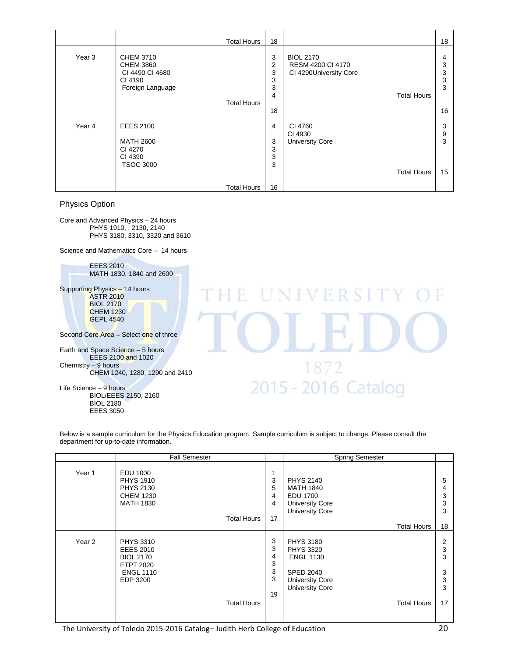|        | <b>Total Hours</b> | 18 |                        | 18     |
|--------|--------------------|----|------------------------|--------|
| Year 3 | <b>CHEM 3710</b>   | 3  | <b>BIOL 2170</b>       | 4      |
|        | <b>CHEM 3860</b>   | 2  | RESM 4200 CI 4170      | 3      |
|        | CI 4490 CI 4680    | 3  | CI 4290University Core | 3      |
|        | CI 4190            | 3  |                        | 3      |
|        | Foreign Language   | 3  |                        | 3      |
|        |                    | 4  | <b>Total Hours</b>     |        |
|        | <b>Total Hours</b> |    |                        |        |
|        |                    | 18 |                        | 16     |
| Year 4 | <b>EEES 2100</b>   | 4  | CI 4760<br>CI 4930     | 3<br>9 |
|        | <b>MATH 2600</b>   | 3  | <b>University Core</b> | 3      |
|        | CI 4270            | 3  |                        |        |
|        | CI 4390            | 3  |                        |        |
|        | <b>TSOC 3000</b>   | 3  |                        |        |
|        |                    |    | <b>Total Hours</b>     | 15     |
|        | <b>Total Hours</b> | 16 |                        |        |

Physics Option

Core and Advanced Physics – 24 hours PHYS 1910, , 2130, 2140 PHYS 3180, 3310, 3320 and 3610

Science and Mathematics Core – 14 hours

EEES 2010 MATH 1830, 1840 and 2600

Supporting Physics – 14 hours ASTR 2010 BIOL 2170 CHEM 1230 GEPL 4540

Second Core Area – Select one of three

Earth and Space Science – 5 hours EEES 2100 and 1020 Chemistry – 9 hours CHEM 1240, 1280, 1290 and 2410

Life Science – 9 hours BIOL/EEES 2150, 2160 BIOL 2180 EEES 3050

UNIVERSIT R 1872 2015 - 2016 Catalog

Below is a sample curriculum for the Physics Education program. Sample curriculum is subject to change. Please consult the department for up-to-date information.

|                   | <b>Fall Semester</b>                                                                                                               |                                  | <b>Spring Semester</b>                                                                                                                                 |                                  |
|-------------------|------------------------------------------------------------------------------------------------------------------------------------|----------------------------------|--------------------------------------------------------------------------------------------------------------------------------------------------------|----------------------------------|
| Year 1            | EDU 1000<br><b>PHYS 1910</b><br><b>PHYS 2130</b><br><b>CHEM 1230</b><br><b>MATH 1830</b><br><b>Total Hours</b>                     | 3<br>5<br>4<br>4<br>17           | <b>PHYS 2140</b><br><b>MATH 1840</b><br>EDU 1700<br><b>University Core</b><br><b>University Core</b><br><b>Total Hours</b>                             | 5<br>4<br>3<br>3<br>3<br>18      |
| Year <sub>2</sub> | <b>PHYS 3310</b><br><b>EEES 2010</b><br><b>BIOL 2170</b><br><b>ETPT 2020</b><br><b>ENGL 1110</b><br>EDP 3200<br><b>Total Hours</b> | 3<br>3<br>4<br>3<br>3<br>3<br>19 | <b>PHYS 3180</b><br><b>PHYS 3320</b><br><b>ENGL 1130</b><br><b>SPED 2040</b><br><b>University Core</b><br><b>University Core</b><br><b>Total Hours</b> | 2<br>3<br>3<br>3<br>3<br>3<br>17 |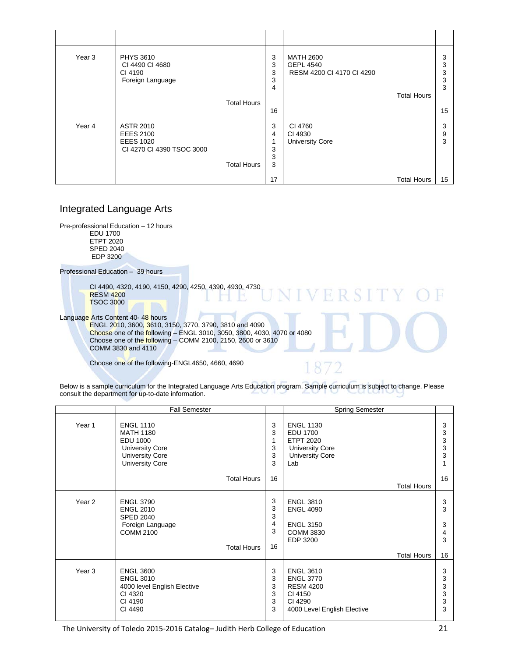| Year 3 | <b>PHYS 3610</b><br>CI 4490 CI 4680<br>CI 4190<br>Foreign Language                    |                    | 3<br>3<br>3<br>3<br>4 | <b>MATH 2600</b><br><b>GEPL 4540</b><br>RESM 4200 CI 4170 CI 4290 | <b>Total Hours</b> | 3<br>3<br>3<br>3<br>3 |
|--------|---------------------------------------------------------------------------------------|--------------------|-----------------------|-------------------------------------------------------------------|--------------------|-----------------------|
|        |                                                                                       | <b>Total Hours</b> | 16                    |                                                                   |                    | 15                    |
| Year 4 | <b>ASTR 2010</b><br><b>EEES 2100</b><br><b>EEES 1020</b><br>CI 4270 CI 4390 TSOC 3000 | <b>Total Hours</b> | 3<br>4<br>3<br>3<br>3 | CI 4760<br>CI 4930<br><b>University Core</b>                      |                    | 3<br>9<br>3           |
|        |                                                                                       |                    | 17                    |                                                                   | <b>Total Hours</b> | 15                    |

#### Integrated Language Arts

Pre-professional Education – 12 hours EDU 1700 ETPT 2020 SPED 2040 EDP 3200

Professional Education – 39 hours

CI 4490, 4320, 4190, 4150, 4290, 4250, 4390, 4930, 4730 RESM 4200 TSOC 3000

Language Arts Content 40-48 hours

ENGL 2010, 3600, 3610, 3150, 3770, 3790, 3810 and 4090 **Choose** one of the <mark>fo</mark>llowing – ENGL 3010, 3050, 3800, 4030, 4070 or 4080 Choose one of th<mark>e follo</mark>wing – COMM 2100, 2150, 2600 or 3610 COMM 3830 and 4110

Choose one of the following-ENGL4650, 4660, 4690

**VERSIT** 

Below is a sample curriculum for the Integrated Language Arts Education program. Sample curriculum is subject to change. Please consult the department for up-to-date information.

|                   | <b>Fall Semester</b>                                                                                                                  |                             | <b>Spring Semester</b>                                                                                        |                            |
|-------------------|---------------------------------------------------------------------------------------------------------------------------------------|-----------------------------|---------------------------------------------------------------------------------------------------------------|----------------------------|
| Year 1            | <b>ENGL 1110</b><br><b>MATH 1180</b><br><b>EDU 1000</b><br><b>University Core</b><br><b>University Core</b><br><b>University Core</b> | 3<br>3<br>1<br>3<br>3<br>3  | <b>ENGL 1130</b><br>EDU 1700<br><b>ETPT 2020</b><br><b>University Core</b><br><b>University Core</b><br>Lab   | 3<br>3<br>3<br>3<br>3      |
|                   | <b>Total Hours</b>                                                                                                                    | 16                          | <b>Total Hours</b>                                                                                            | 16                         |
| Year <sub>2</sub> | <b>ENGL 3790</b><br><b>ENGL 2010</b><br><b>SPED 2040</b><br>Foreign Language<br><b>COMM 2100</b><br><b>Total Hours</b>                | 3<br>3<br>3<br>4<br>3<br>16 | <b>ENGL 3810</b><br><b>ENGL 4090</b><br><b>ENGL 3150</b><br><b>COMM 3830</b><br>EDP 3200                      | 3<br>3<br>3<br>4<br>3      |
|                   |                                                                                                                                       |                             | Total Hours                                                                                                   | 16                         |
| Year <sub>3</sub> | <b>ENGL 3600</b><br><b>ENGL 3010</b><br>4000 level English Elective<br>CI 4320<br>CI 4190<br>CI 4490                                  | 3<br>3<br>3<br>3<br>3<br>3  | <b>ENGL 3610</b><br><b>ENGL 3770</b><br><b>RESM 4200</b><br>CI 4150<br>CI 4290<br>4000 Level English Elective | 3<br>3<br>3<br>3<br>3<br>3 |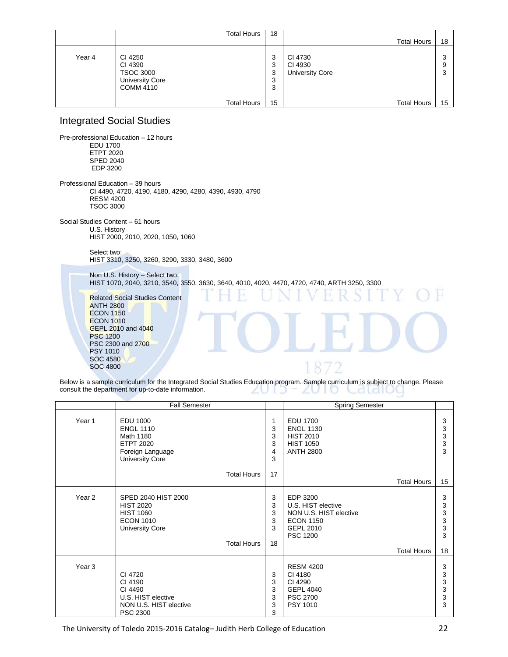|        | <b>Total Hours</b>                                                                   | 18                    |                                              |                       |
|--------|--------------------------------------------------------------------------------------|-----------------------|----------------------------------------------|-----------------------|
|        |                                                                                      |                       | <b>Total Hours</b>                           | 18                    |
| Year 4 | CI 4250<br>CI 4390<br><b>TSOC 3000</b><br><b>University Core</b><br><b>COMM 4110</b> | 3<br>3<br>3<br>3<br>3 | CI 4730<br>CI 4930<br><b>University Core</b> | ົ<br>w<br>9<br>ാ<br>J |
|        | <b>Total Hours</b>                                                                   | 15                    | <b>Total Hours</b>                           | 15                    |

#### Integrated Social Studies

Pre-professional Education – 12 hours EDU 1700 ETPT 2020 SPED 2040 EDP 3200 Professional Education – 39 hours CI 4490, 4720, 4190, 4180, 4290, 4280, 4390, 4930, 4790 RESM 4200 TSOC 3000 Social Studies Content – 61 hours U.S. History HIST 2000, 2010, 2020, 1050, 1060 Select two: HIST 3310, 3250, 3260, 3290, 3330, 3480, 3600 Non U.S. History – Select two: HIST 1070, 2040, 3210, 3540, 3550, 3630, 3640, 4010, 4020, 4470, 4720, 4740, ARTH 3250, 3300 Related Social Studies Content ANTH 2800 **ECON 1150 ECON 1010** GEPL 2010 and 4040 PSC 1200 PSC 2300 and 2700 PSY 1010 SOC 4580 1872 SOC 4800

Below is a sample curriculum for the Integrated Social Studies Education program. Sample curriculum is subject to change. Please consult the department for up-to-date information. ZUID ZUTO Caldiul

|        | <b>Fall Semester</b>                                                                                                            |                             | <b>Spring Semester</b>                                                                                                                    |                                               |
|--------|---------------------------------------------------------------------------------------------------------------------------------|-----------------------------|-------------------------------------------------------------------------------------------------------------------------------------------|-----------------------------------------------|
| Year 1 | <b>EDU 1000</b><br><b>ENGL 1110</b><br>Math 1180<br><b>ETPT 2020</b><br>Foreign Language<br><b>University Core</b>              | 1<br>3<br>3<br>3<br>4<br>3  | <b>EDU 1700</b><br><b>ENGL 1130</b><br><b>HIST 2010</b><br><b>HIST 1050</b><br><b>ANTH 2800</b>                                           | 3<br>3<br>$\ensuremath{\mathsf{3}}$<br>3<br>3 |
|        | <b>Total Hours</b>                                                                                                              | 17                          | <b>Total Hours</b>                                                                                                                        | 15                                            |
| Year 2 | SPED 2040 HIST 2000<br><b>HIST 2020</b><br><b>HIST 1060</b><br><b>ECON 1010</b><br><b>University Core</b><br><b>Total Hours</b> | 3<br>3<br>3<br>3<br>3<br>18 | EDP 3200<br>U.S. HIST elective<br>NON U.S. HIST elective<br><b>ECON 1150</b><br><b>GEPL 2010</b><br><b>PSC 1200</b><br><b>Total Hours</b> | 3<br>3<br>3<br>3<br>3<br>3<br>18              |
| Year 3 | CI 4720<br>CI 4190<br>CI 4490<br>U.S. HIST elective<br>NON U.S. HIST elective<br><b>PSC 2300</b>                                | 3<br>3<br>3<br>3<br>3<br>3  | <b>RESM 4200</b><br>CI 4180<br>CI 4290<br><b>GEPL 4040</b><br><b>PSC 2700</b><br>PSY 1010                                                 | 3<br>3<br>3<br>3<br>3<br>3                    |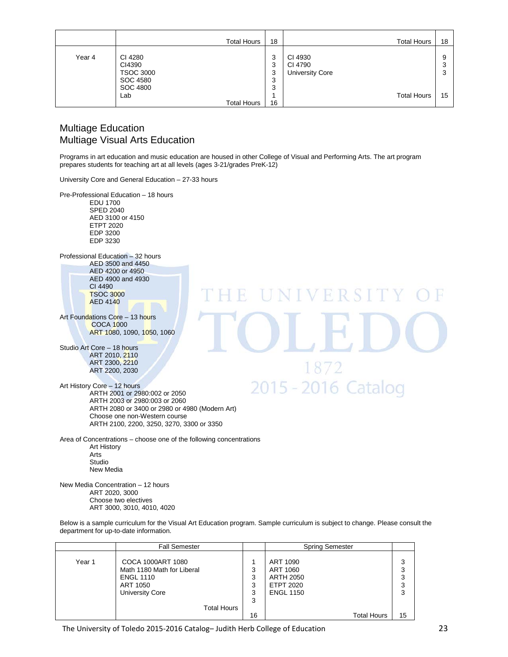|        | <b>Total Hours</b>                                | 18               | <b>Total Hours</b>                           | 18          |
|--------|---------------------------------------------------|------------------|----------------------------------------------|-------------|
| Year 4 | CI 4280<br>CI4390<br><b>TSOC 3000</b><br>SOC 4580 | 3<br>3<br>3<br>3 | CI 4930<br>CI 4790<br><b>University Core</b> | 9<br>3<br>3 |
|        | <b>SOC 4800</b><br>Lab<br><b>Total Hours</b>      | 3<br>16          | <b>Total Hours</b>                           | 15          |

#### Multiage Education Multiage Visual Arts Education

Programs in art education and music education are housed in other College of Visual and Performing Arts. The art program prepares students for teaching art at all levels (ages 3-21/grades PreK-12)

University Core and General Education – 27-33 hours

Pre-Professional Education – 18 hours EDU 1700 SPED 2040 AED 3100 or 4150 ETPT 2020 EDP 3200 EDP 3230 Professional Education – 32 hours AED 3500 and 4450 AED 4200 or 4950 AED 4900 and 4930 CI 4490 UNIVERSI TSOC 3000 AED 4140 Art Foundations Core - 13 hours COCA 1000 ART 1080, 1090, 1050, 1060 Studio Art Core – 18 hours ART 2010, 2110 ART 2300, 2210 1872 ART 2200, 2030 2015 - 2016 Catalog Art History Core – 12 hours ARTH 2001 or 2980:002 or 2050 ARTH 2003 or 2980:003 or 2060 ARTH 2080 or 3400 or 2980 or 4980 (Modern Art) Choose one non-Western course ARTH 2100, 2200, 3250, 3270, 3300 or 3350 Area of Concentrations – choose one of the following concentrations Art History Arts Studio New Media

New Media Concentration – 12 hours ART 2020, 3000 Choose two electives ART 3000, 3010, 4010, 4020

Below is a sample curriculum for the Visual Art Education program. Sample curriculum is subject to change. Please consult the department for up-to-date information.

|        | <b>Fall Semester</b>                                                                                      |                       | <b>Spring Semester</b>                                                    |                       |
|--------|-----------------------------------------------------------------------------------------------------------|-----------------------|---------------------------------------------------------------------------|-----------------------|
| Year 1 | COCA 1000ART 1080<br>Math 1180 Math for Liberal<br><b>ENGL 1110</b><br>ART 1050<br><b>University Core</b> | 3<br>3<br>3<br>3<br>3 | ART 1090<br>ART 1060<br><b>ARTH 2050</b><br>ETPT 2020<br><b>ENGL 1150</b> | 3<br>3<br>3<br>3<br>3 |
|        | <b>Total Hours</b>                                                                                        |                       |                                                                           |                       |
|        |                                                                                                           | 16                    | <b>Total Hours</b>                                                        | 15                    |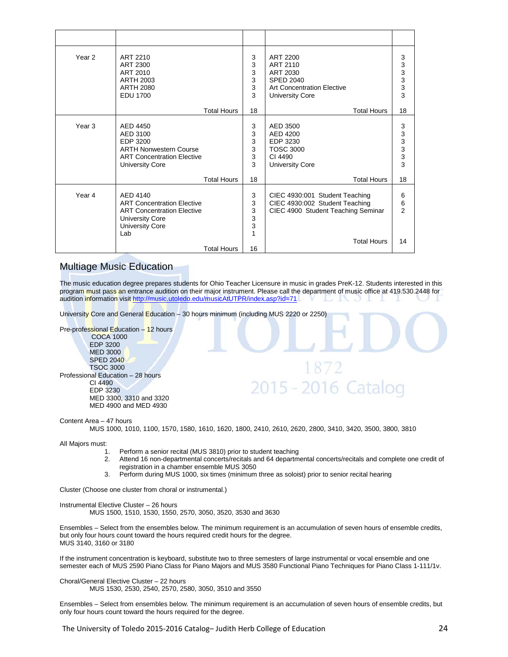| Year 2            | ART 2210<br>ART 2300<br>ART 2010<br>ARTH 2003<br><b>ARTH 2080</b><br><b>EDU 1700</b>                                                          | 3<br>3<br>3<br>3<br>3<br>3 | ART 2200<br>ART 2110<br>ART 2030<br><b>SPED 2040</b><br><b>Art Concentration Elective</b><br><b>University Core</b> | 3<br>3<br>$\mathsf 3$<br>3<br>3<br>3 |
|-------------------|-----------------------------------------------------------------------------------------------------------------------------------------------|----------------------------|---------------------------------------------------------------------------------------------------------------------|--------------------------------------|
|                   | <b>Total Hours</b>                                                                                                                            | 18                         | <b>Total Hours</b>                                                                                                  | 18                                   |
| Year <sub>3</sub> | AED 4450<br>AED 3100<br>EDP 3200<br><b>ARTH Nonwestern Course</b><br><b>ART Concentration Elective</b><br><b>University Core</b>              | 3<br>3<br>3<br>3<br>3<br>3 | AED 3500<br>AED 4200<br>EDP 3230<br>TOSC 3000<br>CI 4490<br><b>University Core</b>                                  | 3<br>3<br>3<br>3<br>3<br>3           |
|                   | <b>Total Hours</b>                                                                                                                            | 18                         | <b>Total Hours</b>                                                                                                  | 18                                   |
| Year 4            | AFD 4140<br><b>ART Concentration Elective</b><br><b>ART Concentration Elective</b><br><b>University Core</b><br><b>University Core</b><br>Lab | 3<br>3<br>3<br>3<br>3<br>1 | CIEC 4930:001 Student Teaching<br>CIEC 4930:002 Student Teaching<br>CIEC 4900 Student Teaching Seminar              | 6<br>6<br>$\overline{2}$             |
|                   | <b>Total Hours</b>                                                                                                                            | 16                         | <b>Total Hours</b>                                                                                                  | 14                                   |

#### Multiage Music Education

The music education degree prepares students for Ohio Teacher Licensure in music in grades PreK-12. Students interested in this program must pass an entrance audition on their major instrument. Please call the department of music office at 419.530.2448 for audition information visit<http://music.utoledo.edu/musicAtUTPR/index.asp?id=71>

University Core and General Education – 30 hours minimum (including MUS 2220 or 2250)

Pre-professional Education – 12 hours

COCA 1000 EDP 3200 MED 3000 SPED 2040 TSOC 3000 Professional Education – 28 hours CI 4490 EDP 3230 MED 3300, 3310 and 3320 MED 4900 and MED 4930

Content Area – 47 hours

MUS 1000, 1010, 1100, 1570, 1580, 1610, 1620, 1800, 2410, 2610, 2620, 2800, 3410, 3420, 3500, 3800, 3810

All Majors must:

- 1. Perform a senior recital (MUS 3810) prior to student teaching
- 2. Attend 16 non-departmental concerts/recitals and 64 departmental concerts/recitals and complete one credit of registration in a chamber ensemble MUS 3050

1872

2015 - 2016 Catalog

3. Perform during MUS 1000, six times (minimum three as soloist) prior to senior recital hearing

Cluster (Choose one cluster from choral or instrumental.)

Instrumental Elective Cluster – 26 hours

MUS 1500, 1510, 1530, 1550, 2570, 3050, 3520, 3530 and 3630

Ensembles – Select from the ensembles below. The minimum requirement is an accumulation of seven hours of ensemble credits, but only four hours count toward the hours required credit hours for the degree. MUS 3140, 3160 or 3180

If the instrument concentration is keyboard, substitute two to three semesters of large instrumental or vocal ensemble and one semester each of MUS 2590 Piano Class for Piano Majors and MUS 3580 Functional Piano Techniques for Piano Class 1-111/1v.

Choral/General Elective Cluster – 22 hours MUS 1530, 2530, 2540, 2570, 2580, 3050, 3510 and 3550

Ensembles – Select from ensembles below. The minimum requirement is an accumulation of seven hours of ensemble credits, but only four hours count toward the hours required for the degree.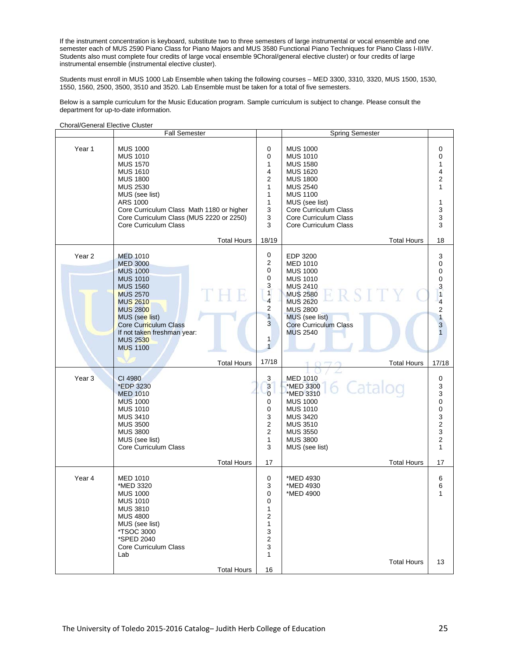If the instrument concentration is keyboard, substitute two to three semesters of large instrumental or vocal ensemble and one semester each of MUS 2590 Piano Class for Piano Majors and MUS 3580 Functional Piano Techniques for Piano Class I-III/IV. Students also must complete four credits of large vocal ensemble 9Choral/general elective cluster) or four credits of large instrumental ensemble (instrumental elective cluster).

Students must enroll in MUS 1000 Lab Ensemble when taking the following courses – MED 3300, 3310, 3320, MUS 1500, 1530, 1550, 1560, 2500, 3500, 3510 and 3520. Lab Ensemble must be taken for a total of five semesters.

Below is a sample curriculum for the Music Education program. Sample curriculum is subject to change. Please consult the department for up-to-date information.

|                   | <b>Fall Semester</b>                                                                                                                                                                                                                                                                 |                                                                                                                                         | <b>Spring Semester</b>                                                                                                                                                                                                                               |                                                                                                                |
|-------------------|--------------------------------------------------------------------------------------------------------------------------------------------------------------------------------------------------------------------------------------------------------------------------------------|-----------------------------------------------------------------------------------------------------------------------------------------|------------------------------------------------------------------------------------------------------------------------------------------------------------------------------------------------------------------------------------------------------|----------------------------------------------------------------------------------------------------------------|
| Year 1            | <b>MUS 1000</b><br><b>MUS 1010</b><br><b>MUS 1570</b><br><b>MUS 1610</b><br><b>MUS 1800</b><br><b>MUS 2530</b><br>MUS (see list)<br>ARS 1000<br>Core Curriculum Class Math 1180 or higher<br>Core Curriculum Class (MUS 2220 or 2250)<br>Core Curriculum Class<br><b>Total Hours</b> | 0<br>0<br>1<br>4<br>$\overline{2}$<br>$\mathbf{1}$<br>1<br>$\mathbf{1}$<br>3<br>3<br>3<br>18/19                                         | <b>MUS 1000</b><br><b>MUS 1010</b><br><b>MUS 1580</b><br><b>MUS 1620</b><br><b>MUS 1800</b><br><b>MUS 2540</b><br><b>MUS 1100</b><br>MUS (see list)<br>Core Curriculum Class<br>Core Curriculum Class<br>Core Curriculum Class<br><b>Total Hours</b> | 0<br>0<br>1<br>4<br>$\overline{c}$<br>$\mathbf{1}$<br>1<br>3<br>3<br>3<br>18                                   |
| Year <sub>2</sub> | <b>MED 1010</b><br><b>MED 3000</b><br><b>MUS 1000</b><br><b>MUS 1010</b><br><b>MUS 1560</b><br>TH<br>R<br><b>MUS 2570</b><br><b>MUS 2610</b><br><b>MUS 2800</b><br>MUS (see list)<br>Core Curriculum Class<br>If not taken freshman year:<br><b>MUS 2530</b><br><b>MUS 1100</b>      | 0<br>$\overline{2}$<br>0<br>0<br>3<br>$\mathbf{1}$<br>$\overline{\mathbf{4}}$<br>2<br>$\mathbf{1}$<br>3<br>$\mathbf{1}$<br>$\mathbf{1}$ | EDP 3200<br><b>MED 1010</b><br><b>MUS 1000</b><br><b>MUS 1010</b><br><b>MUS 2410</b><br>TT Y<br><b>MUS 2580</b><br><b>MUS 2620</b><br><b>MUS 2800</b><br>MUS (see list)<br><b>Core Curriculum Class</b><br><b>MUS 2540</b>                           | 3<br>0<br>$\mathbf 0$<br>$\pmb{0}$<br>3<br>$\overline{1}$<br>$\frac{4}{2}$<br>$\overline{1}$<br>$\overline{3}$ |
|                   |                                                                                                                                                                                                                                                                                      |                                                                                                                                         |                                                                                                                                                                                                                                                      |                                                                                                                |
|                   | <b>Total Hours</b>                                                                                                                                                                                                                                                                   | 17/18                                                                                                                                   | <b>Total Hours</b>                                                                                                                                                                                                                                   | 17/18                                                                                                          |
| Year <sub>3</sub> | CI 4980<br>*EDP 3230<br><b>MED 1010</b><br><b>MUS 1000</b><br><b>MUS 1010</b><br><b>MUS 3410</b><br><b>MUS 3500</b><br><b>MUS 3800</b><br>MUS (see list)<br>Core Curriculum Class                                                                                                    | 3<br>3<br>$\overline{0}$<br>0<br>0<br>3<br>$\overline{2}$<br>$\overline{2}$<br>$\mathbf{1}$<br>3                                        | <b>MED 1010</b><br>6 Catalog<br>*MED 3300<br>*MED 3310<br><b>MUS 1000</b><br><b>MUS 1010</b><br><b>MUS 3420</b><br><b>MUS 3510</b><br><b>MUS 3550</b><br><b>MUS 3800</b><br>MUS (see list)                                                           | $\pmb{0}$<br>3<br>3<br>$\pmb{0}$<br>$\pmb{0}$<br>3<br>$\mathbf 2$<br>3<br>$\mathbf 2$<br>$\mathbf{1}$          |
|                   | <b>Total Hours</b>                                                                                                                                                                                                                                                                   | 17                                                                                                                                      | <b>Total Hours</b>                                                                                                                                                                                                                                   | 17                                                                                                             |
| Year 4            | <b>MED 1010</b><br>*MED 3320<br><b>MUS 1000</b><br><b>MUS 1010</b><br><b>MUS 3810</b><br><b>MUS 4800</b><br>MUS (see list)<br><i><b>*TSOC 3000</b></i><br>*SPED 2040<br>Core Curriculum Class<br>Lab                                                                                 | 0<br>3<br>0<br>0<br>1<br>2<br>1<br>3<br>$\boldsymbol{2}$<br>3<br>1                                                                      | *MED 4930<br>*MED 4930<br>*MED 4900<br><b>Total Hours</b>                                                                                                                                                                                            | 6<br>6<br>1<br>13                                                                                              |

Choral/General Elective Cluster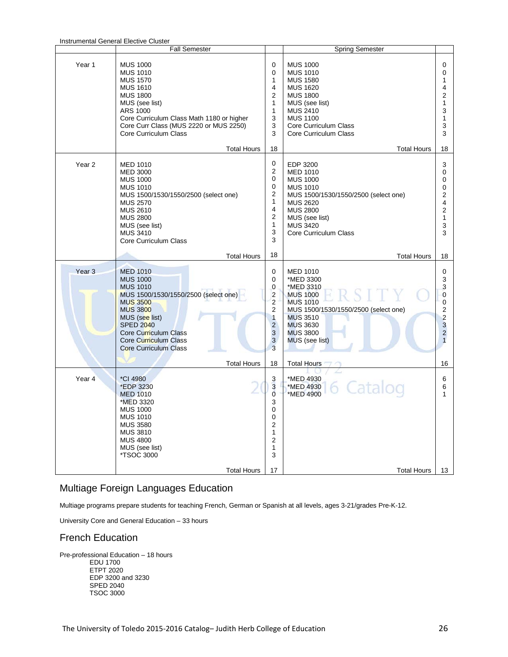|                   | Instrumental General Elective Cluster<br><b>Fall Semester</b>                                                                                                                                                                                                                     |                                                                                                | <b>Spring Semester</b>                                                                                                                                                                                                              |                                                                                                      |
|-------------------|-----------------------------------------------------------------------------------------------------------------------------------------------------------------------------------------------------------------------------------------------------------------------------------|------------------------------------------------------------------------------------------------|-------------------------------------------------------------------------------------------------------------------------------------------------------------------------------------------------------------------------------------|------------------------------------------------------------------------------------------------------|
| Year 1            | <b>MUS 1000</b><br><b>MUS 1010</b><br><b>MUS 1570</b><br><b>MUS 1610</b><br><b>MUS 1800</b><br>MUS (see list)<br>ARS 1000<br>Core Curriculum Class Math 1180 or higher<br>Core Curr Class (MUS 2220 or MUS 2250)<br>Core Curriculum Class                                         | 0<br>0<br>1<br>4<br>2<br>1<br>$\mathbf{1}$<br>3<br>3<br>3                                      | <b>MUS 1000</b><br><b>MUS 1010</b><br><b>MUS 1580</b><br><b>MUS 1620</b><br><b>MUS 1800</b><br>MUS (see list)<br><b>MUS 2410</b><br><b>MUS 1100</b><br>Core Curriculum Class<br>Core Curriculum Class                               | 0<br>0<br>1<br>4<br>2<br>1<br>3<br>1<br>3<br>3                                                       |
| Year <sub>2</sub> | <b>Total Hours</b><br><b>MED 1010</b><br><b>MED 3000</b><br><b>MUS 1000</b><br><b>MUS 1010</b><br>MUS 1500/1530/1550/2500 (select one)<br><b>MUS 2570</b><br><b>MUS 2610</b><br><b>MUS 2800</b><br>MUS (see list)<br><b>MUS 3410</b><br>Core Curriculum Class                     | 18<br>0<br>2<br>0<br>0<br>2<br>1<br>4<br>2<br>1<br>3<br>3                                      | <b>Total Hours</b><br>EDP 3200<br><b>MED 1010</b><br><b>MUS 1000</b><br><b>MUS 1010</b><br>MUS 1500/1530/1550/2500 (select one)<br><b>MUS 2620</b><br><b>MUS 2800</b><br>MUS (see list)<br><b>MUS 3420</b><br>Core Curriculum Class | 18<br>3<br>0<br>0<br>0<br>2<br>4<br>2<br>1<br>3<br>3                                                 |
| Year <sub>3</sub> | <b>Total Hours</b><br><b>MED 1010</b><br><b>MUS 1000</b><br><b>MUS 1010</b><br>MUS 1500/1530/1550/2500 (select one)<br><b>MUS 3500</b><br><b>MUS 3800</b><br>MUS (see list)<br><b>SPED 2040</b><br>Core Curriculum Class<br>Core Curriculum Class<br><b>Core Curriculum Class</b> | 18<br>0<br>0<br>0<br>$\overline{2}$<br>2<br>2<br>$\mathbf{1}$<br>$\overline{2}$<br>3<br>3<br>3 | <b>Total Hours</b><br><b>MED 1010</b><br>*MED 3300<br>*MED 3310<br><b>MUS 1000</b><br><b>MUS 1010</b><br>MUS 1500/1530/1550/2500 (select one)<br><b>MUS 3510</b><br><b>MUS 3630</b><br><b>MUS 3800</b><br>MUS (see list)            | 18<br>0<br>3<br>3<br>$\mathbf{0}$<br>0<br>2<br>$\overline{c}$<br>3<br>$\overline{2}$<br>$\mathbf{1}$ |
| Year 4            | <b>Total Hours</b><br>*CI 4980<br>*EDP 3230<br><b>MED 1010</b><br>*MED 3320<br><b>MUS 1000</b><br><b>MUS 1010</b><br><b>MUS 3580</b><br><b>MUS 3810</b><br><b>MUS 4800</b><br>MUS (see list)<br><i><b>*TSOC 3000</b></i><br><b>Total Hours</b>                                    | 18<br>3<br>3<br>$\overline{0}$<br>3<br>$\Omega$<br>0<br>2<br>1<br>2<br>1<br>3<br>17            | <b>Total Hours</b><br>*MED 4930<br>6 Catalog<br>*MED 4930<br>*MED 4900<br><b>Total Hours</b>                                                                                                                                        | 16<br>6<br>6<br>1<br>13                                                                              |

## Instrumental General Elective Cluster

#### Multiage Foreign Languages Education

Multiage programs prepare students for teaching French, German or Spanish at all levels, ages 3-21/grades Pre-K-12.

University Core and General Education – 33 hours

#### French Education

Pre-professional Education – 18 hours EDU 1700 ETPT 2020 EDP 3200 and 3230 SPED 2040 TSOC 3000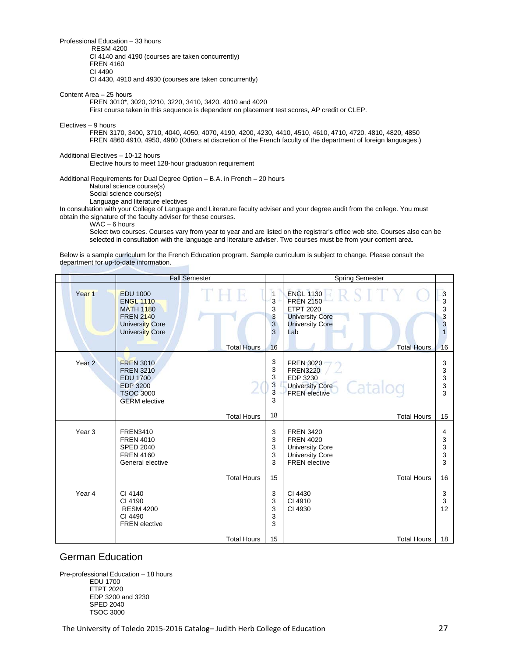Professional Education – 33 hours

RESM 4200

CI 4140 and 4190 (courses are taken concurrently) FREN 4160

CI 4490

CI 4430, 4910 and 4930 (courses are taken concurrently)

Content Area – 25 hours

FREN 3010\*, 3020, 3210, 3220, 3410, 3420, 4010 and 4020

First course taken in this sequence is dependent on placement test scores, AP credit or CLEP.

Electives – 9 hours

FREN 3170, 3400, 3710, 4040, 4050, 4070, 4190, 4200, 4230, 4410, 4510, 4610, 4710, 4720, 4810, 4820, 4850 FREN 4860 4910, 4950, 4980 (Others at discretion of the French faculty of the department of foreign languages.)

#### Additional Electives – 10-12 hours

Elective hours to meet 128-hour graduation requirement

Additional Requirements for Dual Degree Option – B.A. in French – 20 hours

Natural science course(s)

Social science course(s) Language and literature electives

In consultation with your College of Language and Literature faculty adviser and your degree audit from the college. You must obtain the signature of the faculty adviser for these courses.

WAC – 6 hours

Select two courses. Courses vary from year to year and are listed on the registrar's office web site. Courses also can be selected in consultation with the language and literature adviser. Two courses must be from your content area.

Below is a sample curriculum for the French Education program. Sample curriculum is subject to change. Please consult the department for up-to-date information.

|                   |                                                                                                                                 | <b>Fall Semester</b> |                                                        | <b>Spring Semester</b>                                                                                                                    |                                             |
|-------------------|---------------------------------------------------------------------------------------------------------------------------------|----------------------|--------------------------------------------------------|-------------------------------------------------------------------------------------------------------------------------------------------|---------------------------------------------|
| Year <sub>1</sub> | <b>EDU 1000</b><br><b>ENGL 1110</b><br><b>MATH 1180</b><br><b>FREN 2140</b><br><b>University Core</b><br><b>University Core</b> | <b>Total Hours</b>   | $\mathbf{1}$<br>3<br>3<br>3<br>$\mathbf{3}$<br>3<br>16 | <b>ENGL 1130</b><br><b>FREN 2150</b><br><b>ETPT 2020</b><br><b>University Core</b><br><b>University Core</b><br>Lab<br><b>Total Hours</b> | 3<br>3<br>3<br>3<br>3<br>$\mathbf{1}$<br>16 |
| Year <sub>2</sub> | <b>FREN 3010</b><br><b>FREN 3210</b><br><b>EDU 1700</b><br><b>EDP 3200</b><br><b>TSOC 3000</b><br><b>GERM</b> elective          |                      | 3<br>3<br>3<br>3<br>3<br>3                             | <b>FREN 3020</b><br><b>FREN3220</b><br>EDP 3230<br>Catalog<br><b>University Core</b><br><b>FREN</b> elective                              | 3<br>3<br>3<br>3<br>3                       |
|                   |                                                                                                                                 | <b>Total Hours</b>   | 18                                                     | <b>Total Hours</b>                                                                                                                        | 15                                          |
| Year <sub>3</sub> | <b>FREN3410</b><br><b>FREN 4010</b><br><b>SPED 2040</b><br><b>FREN 4160</b><br>General elective                                 |                      | 3<br>3<br>3<br>3<br>3                                  | <b>FREN 3420</b><br><b>FREN 4020</b><br><b>University Core</b><br><b>University Core</b><br><b>FREN</b> elective                          | 4<br>3<br>3<br>3<br>3                       |
|                   |                                                                                                                                 | <b>Total Hours</b>   | 15                                                     | <b>Total Hours</b>                                                                                                                        | 16                                          |
| Year 4            | CI 4140<br>CI 4190<br><b>RESM 4200</b><br>CI 4490<br><b>FREN</b> elective                                                       |                      | 3<br>3<br>3<br>3<br>3                                  | CI 4430<br>CI 4910<br>CI 4930                                                                                                             | 3<br>3<br>12                                |
|                   |                                                                                                                                 | <b>Total Hours</b>   | 15                                                     | <b>Total Hours</b>                                                                                                                        | 18                                          |

#### German Education

Pre-professional Education – 18 hours EDU 1700 ETPT 2020 EDP 3200 and 3230 SPED 2040 TSOC 3000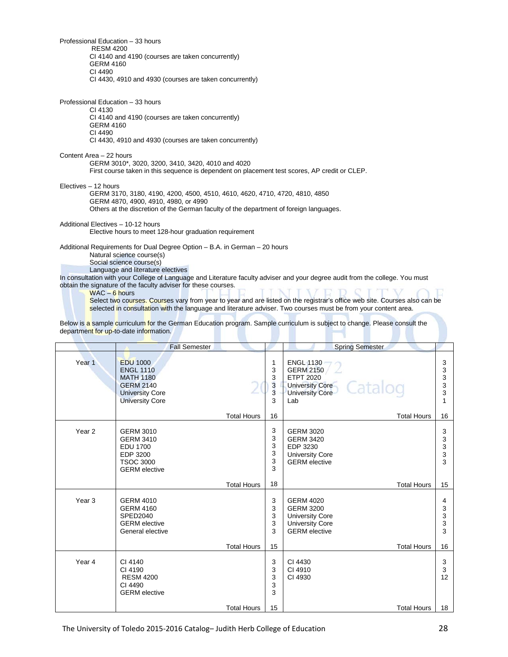Professional Education – 33 hours RESM 4200 CI 4140 and 4190 (courses are taken concurrently) GERM 4160 CI 4490 CI 4430, 4910 and 4930 (courses are taken concurrently)

Professional Education – 33 hours CI 4130 CI 4140 and 4190 (courses are taken concurrently) GERM 4160 CI 4490 CI 4430, 4910 and 4930 (courses are taken concurrently)

Content Area – 22 hours GERM 3010\*, 3020, 3200, 3410, 3420, 4010 and 4020 First course taken in this sequence is dependent on placement test scores, AP credit or CLEP.

Electives – 12 hours

GERM 3170, 3180, 4190, 4200, 4500, 4510, 4610, 4620, 4710, 4720, 4810, 4850 GERM 4870, 4900, 4910, 4980, or 4990 Others at the discretion of the German faculty of the department of foreign languages.

Additional Electives – 10-12 hours

Elective hours to meet 128-hour graduation requirement

Additional Requirements for Dual Degree Option – B.A. in German – 20 hours Natural science course(s) Social science course(s)

Language and literature electives

In consultation with your College of Language and Literature faculty adviser and your degree audit from the college. You must obtain the signature of the faculty adviser for these courses.

#### WAC – 6 hours

Select two courses. Courses vary from year to year and are listed on the registrar's office web site. Courses also can be selected in consultation with the language and literature adviser. Two courses must be from your content area.

Below is a sample curriculum for the German Education program. Sample curriculum is subject to change. Please consult the department for up-to-date information.

|                   | <b>Fall Semester</b>                                                                                                            |                    |                                         | <b>Spring Semester</b>                                                                                                         |                                   |
|-------------------|---------------------------------------------------------------------------------------------------------------------------------|--------------------|-----------------------------------------|--------------------------------------------------------------------------------------------------------------------------------|-----------------------------------|
| Year <sub>1</sub> | <b>EDU 1000</b><br><b>ENGL 1110</b><br><b>MATH 1180</b><br><b>GERM 2140</b><br><b>University Core</b><br><b>University Core</b> |                    | 1<br>3<br>3<br>3<br>$\overline{3}$<br>3 | <b>ENGL 1130</b><br><b>GERM 2150</b><br><b>ETPT 2020</b><br>Catalog<br><b>University Core</b><br><b>University Core</b><br>Lab | 3<br>3<br>3<br>$\frac{3}{3}$<br>1 |
|                   |                                                                                                                                 | <b>Total Hours</b> | 16                                      | <b>Total Hours</b>                                                                                                             | 16                                |
| Year <sub>2</sub> | <b>GERM 3010</b><br><b>GERM 3410</b><br><b>EDU 1700</b><br>EDP 3200<br><b>TSOC 3000</b><br><b>GERM</b> elective                 |                    | 3<br>3<br>3<br>3<br>3<br>3              | <b>GERM 3020</b><br><b>GERM 3420</b><br>EDP 3230<br><b>University Core</b><br><b>GERM</b> elective                             | 3<br>3<br>3<br>3<br>3             |
|                   |                                                                                                                                 | <b>Total Hours</b> | 18                                      | <b>Total Hours</b>                                                                                                             | 15                                |
| Year <sub>3</sub> | <b>GERM 4010</b><br><b>GERM 4160</b><br><b>SPED2040</b><br><b>GERM</b> elective<br>General elective                             |                    | 3<br>3<br>3<br>3<br>3                   | <b>GERM 4020</b><br><b>GERM 3200</b><br><b>University Core</b><br><b>University Core</b><br><b>GERM</b> elective               | 4<br>3<br>3<br>3<br>3             |
|                   |                                                                                                                                 | <b>Total Hours</b> | 15                                      | <b>Total Hours</b>                                                                                                             | 16                                |
| Year 4            | CI 4140<br>CI 4190<br><b>RESM 4200</b><br>CI 4490<br><b>GERM</b> elective                                                       |                    | 3<br>3<br>3<br>3<br>3                   | CI 4430<br>CI 4910<br>CI 4930                                                                                                  | 3<br>$\mathbf{3}$<br>12           |
|                   |                                                                                                                                 | <b>Total Hours</b> | 15                                      | <b>Total Hours</b>                                                                                                             | 18                                |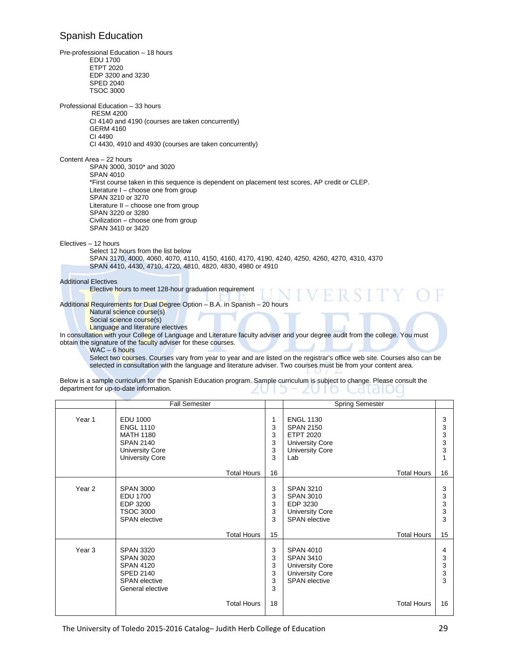#### Spanish Education

Pre-professional Education – 18 hours EDU 1700 ETPT 2020 EDP 3200 and 3230 SPED 2040 TSOC 3000 Professional Education – 33 hours RESM 4200 CI 4140 and 4190 (courses are taken concurrently) GERM 4160 CI 4490 CI 4430, 4910 and 4930 (courses are taken concurrently) Content Area – 22 hours SPAN 3000, 3010\* and 3020 SPAN 4010 \*First course taken in this sequence is dependent on placement test scores, AP credit or CLEP. Literature I – choose one from group SPAN 3210 or 3270 Literature II – choose one from group SPAN 3220 or 3280 Civilization – choose one from group SPAN 3410 or 3420 Electives – 12 hours Select 12 hours from the list below SPAN 3170, 4000, 4060, 4070, 4110, 4150, 4160, 4170, 4190, 4240, 4250, 4260, 4270, 4310, 4370 SPAN 4410, 4430, 4710, 4720, 4810, 4820, 4830, 4980 or 4910 Additional Electives Elective hours to meet 128-hour graduation requirement Additional Requirements for Dual Degree Option – B.A. in Spanish – 20 hours Natural science course(s) Social science course(s) Language and literature electives In consultation with your College of Language and Literature faculty adviser and your degree audit from the college. You must obtain the signature of the faculty adviser for these courses. WAC – 6 hours

Select two courses. Courses vary from year to year and are listed on the registrar's office web site. Courses also can be selected in consultation with the language and literature adviser. Two courses must be from your content area.

Below is a sample curriculum for the Spanish Education program. Sample curriculum is subject to change. Please consult the department for up-to-date information. L at divi **IKO** 

|                   | <b>Fall Semester</b>                                                                                                            |                            | <b>Spring Semester</b>                                                                                              |                            |
|-------------------|---------------------------------------------------------------------------------------------------------------------------------|----------------------------|---------------------------------------------------------------------------------------------------------------------|----------------------------|
| Year 1            | <b>EDU 1000</b><br><b>ENGL 1110</b><br><b>MATH 1180</b><br><b>SPAN 2140</b><br><b>University Core</b><br><b>University Core</b> | 1<br>3<br>3<br>3<br>3<br>3 | <b>ENGL 1130</b><br><b>SPAN 2150</b><br><b>ETPT 2020</b><br><b>University Core</b><br><b>University Core</b><br>Lab | 3<br>3<br>3<br>3<br>3<br>1 |
|                   | <b>Total Hours</b>                                                                                                              | 16                         | <b>Total Hours</b>                                                                                                  | 16                         |
| Year <sub>2</sub> | <b>SPAN 3000</b><br><b>EDU 1700</b><br>EDP 3200<br><b>TSOC 3000</b><br><b>SPAN</b> elective                                     | 3<br>3<br>3<br>3<br>3      | <b>SPAN 3210</b><br><b>SPAN 3010</b><br>EDP 3230<br><b>University Core</b><br><b>SPAN</b> elective                  | 3<br>3<br>3<br>3<br>3      |
|                   | <b>Total Hours</b>                                                                                                              | 15                         | <b>Total Hours</b>                                                                                                  | 15                         |
| Year <sub>3</sub> | <b>SPAN 3320</b><br><b>SPAN 3020</b><br><b>SPAN 4120</b><br><b>SPED 2140</b><br><b>SPAN</b> elective<br>General elective        | 3<br>3<br>3<br>3<br>3<br>3 | <b>SPAN 4010</b><br><b>SPAN 3410</b><br><b>University Core</b><br><b>University Core</b><br><b>SPAN</b> elective    | 4<br>3<br>3<br>3<br>3      |
|                   | <b>Total Hours</b>                                                                                                              | 18                         | <b>Total Hours</b>                                                                                                  | 16                         |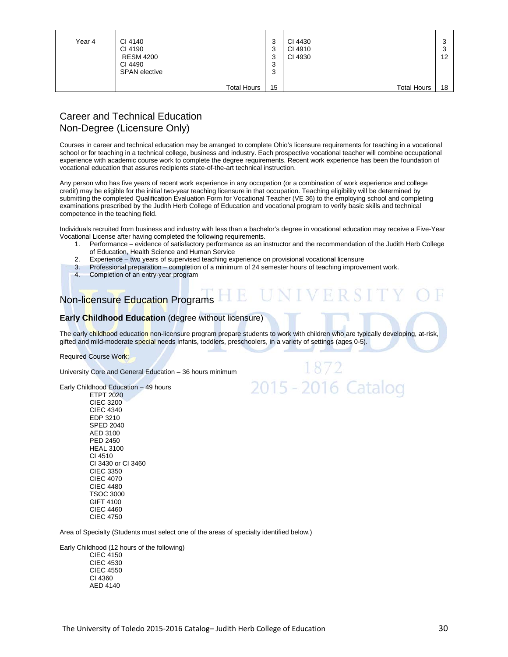| Year 4 | CI 4140<br>CI 4190<br><b>RESM 4200</b><br>CI 4490<br><b>SPAN</b> elective | っ<br>J<br>◠<br>رب<br>っ<br>رب<br>◠<br>J<br>ົ<br>J | CI 4430<br>CI 4910<br>CI 4930 | w<br>12 |
|--------|---------------------------------------------------------------------------|--------------------------------------------------|-------------------------------|---------|
|        | <b>Total Hours</b>                                                        | 15                                               | <b>Total Hours</b>            | 18      |

## Career and Technical Education Non-Degree (Licensure Only)

Courses in career and technical education may be arranged to complete Ohio's licensure requirements for teaching in a vocational school or for teaching in a technical college, business and industry. Each prospective vocational teacher will combine occupational experience with academic course work to complete the degree requirements. Recent work experience has been the foundation of vocational education that assures recipients state-of-the-art technical instruction.

Any person who has five years of recent work experience in any occupation (or a combination of work experience and college credit) may be eligible for the initial two-year teaching licensure in that occupation. Teaching eligibility will be determined by submitting the completed Qualification Evaluation Form for Vocational Teacher (VE 36) to the employing school and completing examinations prescribed by the Judith Herb College of Education and vocational program to verify basic skills and technical competence in the teaching field.

Individuals recruited from business and industry with less than a bachelor's degree in vocational education may receive a Five-Year Vocational License after having completed the following requirements.

1. Performance – evidence of satisfactory performance as an instructor and the recommendation of the Judith Herb College of Education, Health Science and Human Service

E UNIVERSI

1872

2015 - 2016 Catalog

- 2. Experience two years of supervised teaching experience on provisional vocational licensure
- 3. Professional preparation completion of a minimum of 24 semester hours of teaching improvement work.
- 4. Completion of an entry-year program

## Non-licensure Education Programs

#### **Early Childhood Education** (degree without licensure)

The early childhood education non-licensure program prepare students to work with children who are typically developing, at-risk, gifted and mild-moderate special needs infants, toddlers, preschoolers, in a variety of settings (ages 0-5).

Required Course Work:

University Core and General Education – 36 hours minimum

Early Childhood Education – 49 hours

ETPT 2020 CIEC 3200 CIEC 4340 EDP 3210 SPED 2040 AED 3100 PED 2450 HEAL 3100 CI 4510 CI 3430 or CI 3460 CIEC 3350 CIEC 4070 CIEC 4480 TSOC 3000 GIFT 4100 CIEC 4460 CIEC 4750

Area of Specialty (Students must select one of the areas of specialty identified below.)

Early Childhood (12 hours of the following)

CIEC 4150 CIEC 4530 CIEC 4550 CI 4360 AED 4140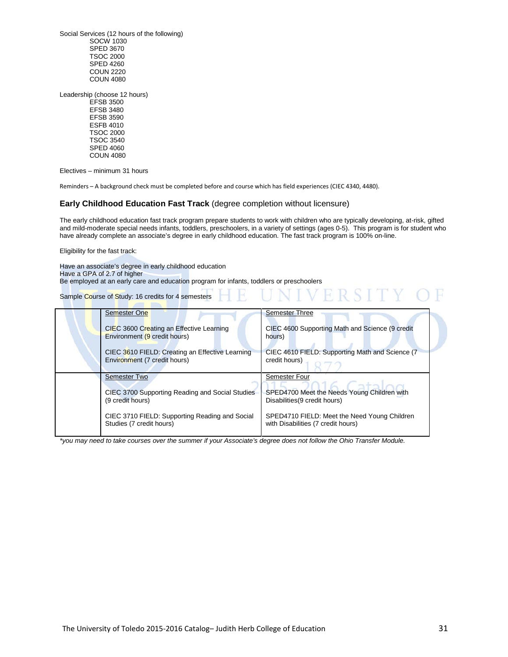Social Services (12 hours of the following) SOCW 1030 SPED 3670 TSOC 2000 SPED 4260 COUN 2220 COUN 4080

Leadership (choose 12 hours) EFSB 3500 EFSB 3480 EFSB 3590 ESFB 4010 TSOC 2000 TSOC 3540 SPED 4060 COUN 4080

Electives – minimum 31 hours

Reminders – A background check must be completed before and course which has field experiences (CIEC 4340, 4480).

#### **Early Childhood Education Fast Track** (degree completion without licensure)

The early childhood education fast track program prepare students to work with children who are typically developing, at-risk, gifted and mild-moderate special needs infants, toddlers, preschoolers, in a variety of settings (ages 0-5). This program is for student who have already complete an associate's degree in early childhood education. The fast track program is 100% on-line.

Eligibility for the fast track:

Have an associate's degree in early childhood education Have a GPA of 2.7 of higher Be employed at an early care and education program for infants, toddlers or preschoolers

Sample Course of Study: 16 credits for 4 semesters

| <b>Semester One</b>                                                             | <b>Semester Three</b>                                                              |
|---------------------------------------------------------------------------------|------------------------------------------------------------------------------------|
| CIEC 3600 Creating an Effective Learning<br>Environment (9 credit hours)        | CIEC 4600 Supporting Math and Science (9 credit<br>hours)                          |
| CIEC 3610 FIELD: Creating an Effective Learning<br>Environment (7 credit hours) | CIEC 4610 FIELD: Supporting Math and Science (7)<br>credit hours)                  |
| <b>Semester Two</b>                                                             | Semester Four                                                                      |
| CIEC 3700 Supporting Reading and Social Studies<br>(9 credit hours)             | SPED4700 Meet the Needs Young Children with<br>Disabilities (9 credit hours)       |
| CIEC 3710 FIELD: Supporting Reading and Social<br>Studies (7 credit hours)      | SPED4710 FIELD: Meet the Need Young Children<br>with Disabilities (7 credit hours) |

*\*you may need to take courses over the summer if your Associate's degree does not follow the Ohio Transfer Module.*

VERSITY OF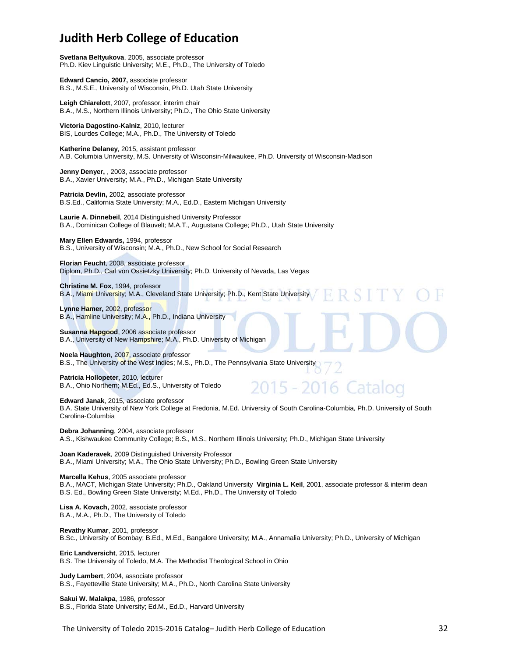# **Judith Herb College of Education**

**Svetlana Beltyukova**, 2005, associate professor Ph.D. Kiev Linguistic University; M.E., Ph.D., The University of Toledo

**Edward Cancio, 2007,** associate professor B.S., M.S.E., University of Wisconsin, Ph.D. Utah State University

**Leigh Chiarelott**, 2007, professor, interim chair B.A., M.S., Northern Illinois University; Ph.D., The Ohio State University

**Victoria Dagostino-Kalniz**, 2010, lecturer BIS, Lourdes College; M.A., Ph.D., The University of Toledo

**Katherine Delaney**, 2015, assistant professor A.B. Columbia University, M.S. University of Wisconsin-Milwaukee, Ph.D. University of Wisconsin-Madison

**Jenny Denyer,** , 2003, associate professor B.A., Xavier University; M.A., Ph.D., Michigan State University

**Patricia Devlin,** 2002, associate professor B.S.Ed., California State University; M.A., Ed.D., Eastern Michigan University

**Laurie A. Dinnebeil**, 2014 Distinguished University Professor B.A., Dominican College of Blauvelt; M.A.T., Augustana College; Ph.D., Utah State University

**Mary Ellen Edwards,** 1994, professor B.S., University of Wisconsin; M.A., Ph.D., New School for Social Research

**Florian Feucht**, 2008, associate professor Diplom, Ph.D., Carl von Ossietzky University; Ph.D. University of Nevada, Las Vegas

**Christine M. Fox**, 1994, professor B.A., Miami University; M.A., Cleveland State University; Ph.D., Kent State University

**Lynne Hamer,** 2002, professor B.A., Hamline University; M.A., Ph.D., Indiana University

**Susanna Hapgood**, 2006 associate professor B.A., University of New Hampshire; M.A., Ph.D. University of Michigan

**Noela Haughton**, 2007, associate professor B.S., The University of the West Indies; M.S., Ph.D., The Pennsylvania State University

**Patricia Hollopeter**, 2010, lecturer B.A., Ohio Northern; M.Ed., Ed.S., University of Toledo

# 2015 - 2016 Catalog

**Edward Janak**, 2015, associate professor B.A. State University of New York College at Fredonia, M.Ed. University of South Carolina-Columbia, Ph.D. University of South Carolina-Columbia

**Debra Johanning**, 2004, associate professor A.S., Kishwaukee Community College; B.S., M.S., Northern Illinois University; Ph.D., Michigan State University

**Joan Kaderavek**, 2009 Distinguished University Professor B.A., Miami University; M.A., The Ohio State University; Ph.D., Bowling Green State University

**Marcella Kehus**, 2005 associate professor

B.A., MACT, Michigan State University; Ph.D., Oakland University **Virginia L. Keil**, 2001, associate professor & interim dean B.S. Ed., Bowling Green State University; M.Ed., Ph.D., The University of Toledo

**Lisa A. Kovach,** 2002, associate professor B.A., M.A., Ph.D., The University of Toledo

**Revathy Kumar**, 2001, professor B.Sc., University of Bombay; B.Ed., M.Ed., Bangalore University; M.A., Annamalia University; Ph.D., University of Michigan

**Eric Landversicht**, 2015, lecturer B.S. The University of Toledo, M.A. The Methodist Theological School in Ohio

**Judy Lambert**, 2004, associate professor B.S., Fayetteville State University; M.A., Ph.D., North Carolina State University

**Sakui W. Malakpa**, 1986, professor B.S., Florida State University; Ed.M., Ed.D., Harvard University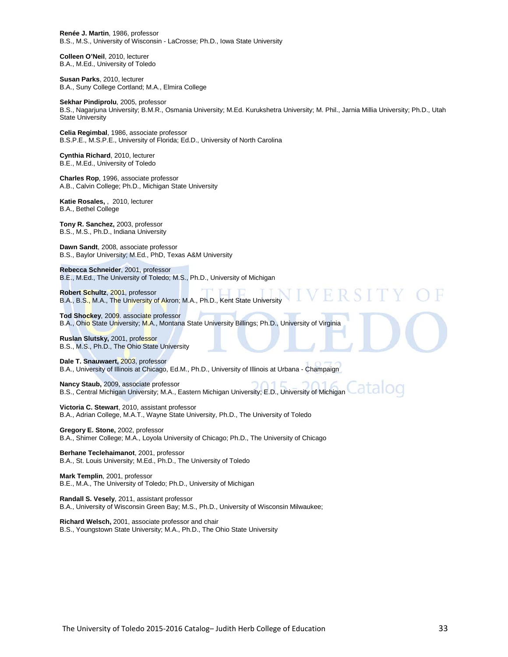**Renée J. Martin**, 1986, professor B.S., M.S., University of Wisconsin - LaCrosse; Ph.D., Iowa State University

**Colleen O'Neil**, 2010, lecturer B.A., M.Ed., University of Toledo

**Susan Parks**, 2010, lecturer B.A., Suny College Cortland; M.A., Elmira College

**Sekhar Pindiprolu**, 2005, professor B.S., Nagarjuna University; B.M.R., Osmania University; M.Ed. Kurukshetra University; M. Phil., Jarnia Millia University; Ph.D., Utah State University

**Celia Regimbal**, 1986, associate professor B.S.P.E., M.S.P.E., University of Florida; Ed.D., University of North Carolina

**Cynthia Richard**, 2010, lecturer B.E., M.Ed., University of Toledo

**Charles Rop**, 1996, associate professor A.B., Calvin College; Ph.D., Michigan State University

**Katie Rosales,** , 2010, lecturer B.A., Bethel College

**Tony R. Sanchez,** 2003, professor B.S., M.S., Ph.D., Indiana University

**Dawn Sandt**, 2008, associate professor B.S., Baylor University; M.Ed., PhD, Texas A&M University

**Rebecca Schneider**, 2001, professor B.E., M.Ed., The University of Toledo; M.S., Ph.D., University of Michigan

**Robert Schultz**, 2001, professor B.A., B.S., M.A., The University of Akron; M.A., Ph.D., Kent State University

**Tod Shockey**, 2009. associate professor B.A., Ohio State University; M.A., Montana State University Billings; Ph.D., University of Virginia

**Ruslan Slutsky,** 2001, professor B.S., M.S., Ph.D., The Ohio State University

**Dale T. Snauwaert,** 2003, professor B.A., University of Illinois at Chicago, Ed.M., Ph.D., University of Illinois at Urbana - Champaign

**Nancy Staub,** 2009, associate professor B.S., Central Michigan University; M.A., Eastern Michigan University; E.D., University of Michigan

**Victoria C. Stewart**, 2010, assistant professor B.A., Adrian College, M.A.T., Wayne State University, Ph.D., The University of Toledo

**Gregory E. Stone,** 2002, professor B.A., Shimer College; M.A., Loyola University of Chicago; Ph.D., The University of Chicago

**Berhane Teclehaimanot**, 2001, professor B.A., St. Louis University; M.Ed., Ph.D., The University of Toledo

**Mark Templin**, 2001, professor B.E., M.A., The University of Toledo; Ph.D., University of Michigan

**Randall S. Vesely**, 2011, assistant professor B.A., University of Wisconsin Green Bay; M.S., Ph.D., University of Wisconsin Milwaukee;

**Richard Welsch,** 2001, associate professor and chair B.S., Youngstown State University; M.A., Ph.D., The Ohio State University